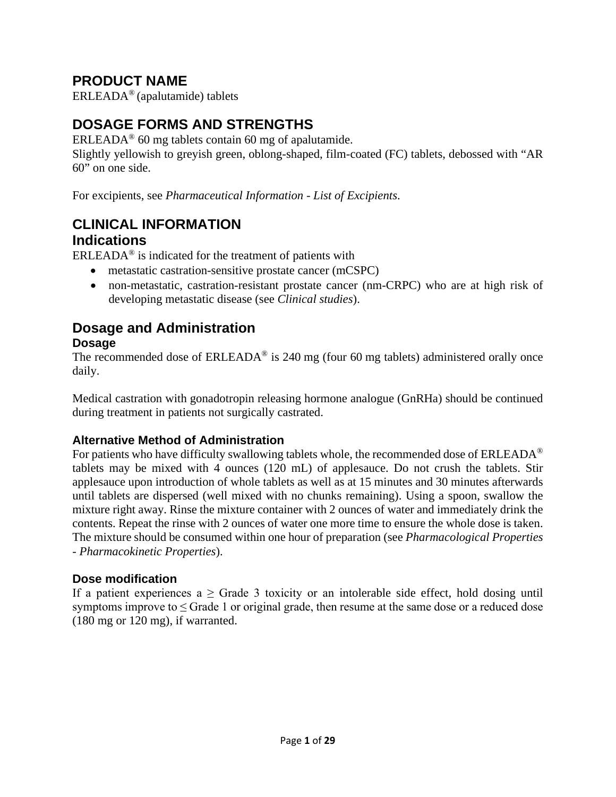# **PRODUCT NAME**

ERLEADA® (apalutamide) tablets

# **DOSAGE FORMS AND STRENGTHS**

ERLEADA® 60 mg tablets contain 60 mg of apalutamide.

Slightly yellowish to greyish green, oblong-shaped, film-coated (FC) tablets, debossed with "AR 60" on one side.

For excipients, see *Pharmaceutical Information - List of Excipients*.

## **CLINICAL INFORMATION Indications**

 $ERLEADA<sup>®</sup>$  is indicated for the treatment of patients with

- metastatic castration-sensitive prostate cancer (mCSPC)
- non-metastatic, castration-resistant prostate cancer (nm-CRPC) who are at high risk of developing metastatic disease (see *Clinical studies*).

# **Dosage and Administration**

#### **Dosage**

The recommended dose of  $ERLEADA^{\circledR}$  is 240 mg (four 60 mg tablets) administered orally once daily.

Medical castration with gonadotropin releasing hormone analogue (GnRHa) should be continued during treatment in patients not surgically castrated.

#### **Alternative Method of Administration**

For patients who have difficulty swallowing tablets whole, the recommended dose of ERLEADA<sup>®</sup> tablets may be mixed with 4 ounces (120 mL) of applesauce. Do not crush the tablets. Stir applesauce upon introduction of whole tablets as well as at 15 minutes and 30 minutes afterwards until tablets are dispersed (well mixed with no chunks remaining). Using a spoon, swallow the mixture right away. Rinse the mixture container with 2 ounces of water and immediately drink the contents. Repeat the rinse with 2 ounces of water one more time to ensure the whole dose is taken. The mixture should be consumed within one hour of preparation (see *Pharmacological Properties - Pharmacokinetic Properties*).

#### **Dose modification**

If a patient experiences a  $\geq$  Grade 3 toxicity or an intolerable side effect, hold dosing until symptoms improve to  $\leq$  Grade 1 or original grade, then resume at the same dose or a reduced dose (180 mg or 120 mg), if warranted.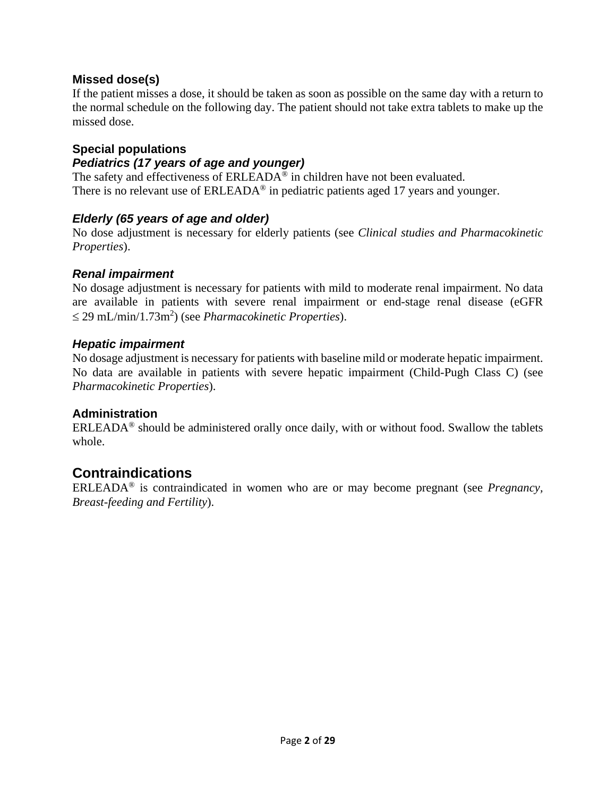#### **Missed dose(s)**

If the patient misses a dose, it should be taken as soon as possible on the same day with a return to the normal schedule on the following day. The patient should not take extra tablets to make up the missed dose.

### **Special populations**

#### *Pediatrics (17 years of age and younger)*

The safety and effectiveness of ERLEADA<sup>®</sup> in children have not been evaluated. There is no relevant use of ERLEADA<sup>®</sup> in pediatric patients aged 17 years and younger.

#### *Elderly (65 years of age and older)*

No dose adjustment is necessary for elderly patients (see *Clinical studies and Pharmacokinetic Properties*).

#### *Renal impairment*

No dosage adjustment is necessary for patients with mild to moderate renal impairment. No data are available in patients with severe renal impairment or end-stage renal disease (eGFR ≤ 29 mL/min/1.73m<sup>2</sup> ) (see *Pharmacokinetic Properties*).

#### *Hepatic impairment*

No dosage adjustment is necessary for patients with baseline mild or moderate hepatic impairment. No data are available in patients with severe hepatic impairment (Child-Pugh Class C) (see *Pharmacokinetic Properties*).

#### **Administration**

 $ERLEADA<sup>®</sup>$  should be administered orally once daily, with or without food. Swallow the tablets whole.

## **Contraindications**

ERLEADA® is contraindicated in women who are or may become pregnant (see *Pregnancy, Breast-feeding and Fertility*).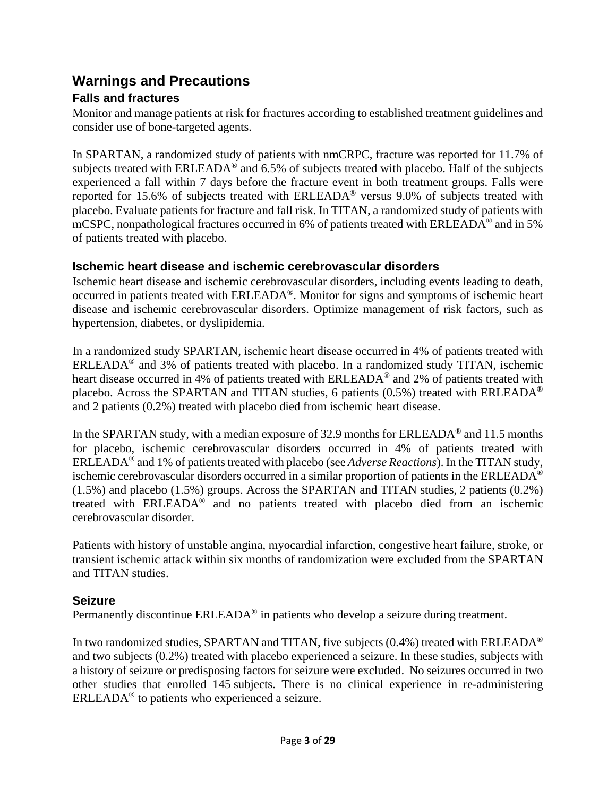### **Warnings and Precautions Falls and fractures**

Monitor and manage patients at risk for fractures according to established treatment guidelines and consider use of bone-targeted agents.

In SPARTAN, a randomized study of patients with nmCRPC, fracture was reported for 11.7% of subjects treated with ERLEADA<sup>®</sup> and 6.5% of subjects treated with placebo. Half of the subjects experienced a fall within 7 days before the fracture event in both treatment groups. Falls were reported for 15.6% of subjects treated with ERLEADA® versus 9.0% of subjects treated with placebo. Evaluate patients for fracture and fall risk. In TITAN, a randomized study of patients with mCSPC, nonpathological fractures occurred in 6% of patients treated with ERLEADA® and in 5% of patients treated with placebo.

#### **Ischemic heart disease and ischemic cerebrovascular disorders**

Ischemic heart disease and ischemic cerebrovascular disorders, including events leading to death, occurred in patients treated with ERLEADA®. Monitor for signs and symptoms of ischemic heart disease and ischemic cerebrovascular disorders. Optimize management of risk factors, such as hypertension, diabetes, or dyslipidemia.

In a randomized study SPARTAN, ischemic heart disease occurred in 4% of patients treated with ERLEADA<sup>®</sup> and 3% of patients treated with placebo. In a randomized study TITAN, ischemic heart disease occurred in 4% of patients treated with ERLEADA<sup>®</sup> and 2% of patients treated with placebo. Across the SPARTAN and TITAN studies, 6 patients  $(0.5\%)$  treated with ERLEADA<sup>®</sup> and 2 patients (0.2%) treated with placebo died from ischemic heart disease.

In the SPARTAN study, with a median exposure of 32.9 months for ERLEADA® and 11.5 months for placebo, ischemic cerebrovascular disorders occurred in 4% of patients treated with ERLEADA® and 1% of patients treated with placebo (see *Adverse Reactions*). In the TITAN study, ischemic cerebrovascular disorders occurred in a similar proportion of patients in the ERLEADA® (1.5%) and placebo (1.5%) groups. Across the SPARTAN and TITAN studies, 2 patients (0.2%) treated with ERLEADA® and no patients treated with placebo died from an ischemic cerebrovascular disorder.

Patients with history of unstable angina, myocardial infarction, congestive heart failure, stroke, or transient ischemic attack within six months of randomization were excluded from the SPARTAN and TITAN studies.

#### **Seizure**

Permanently discontinue ERLEADA<sup>®</sup> in patients who develop a seizure during treatment.

In two randomized studies, SPARTAN and TITAN, five subjects  $(0.4\%)$  treated with ERLEADA<sup>®</sup> and two subjects (0.2%) treated with placebo experienced a seizure. In these studies, subjects with a history of seizure or predisposing factors for seizure were excluded. No seizures occurred in two other studies that enrolled 145 subjects. There is no clinical experience in re-administering ERLEADA® to patients who experienced a seizure.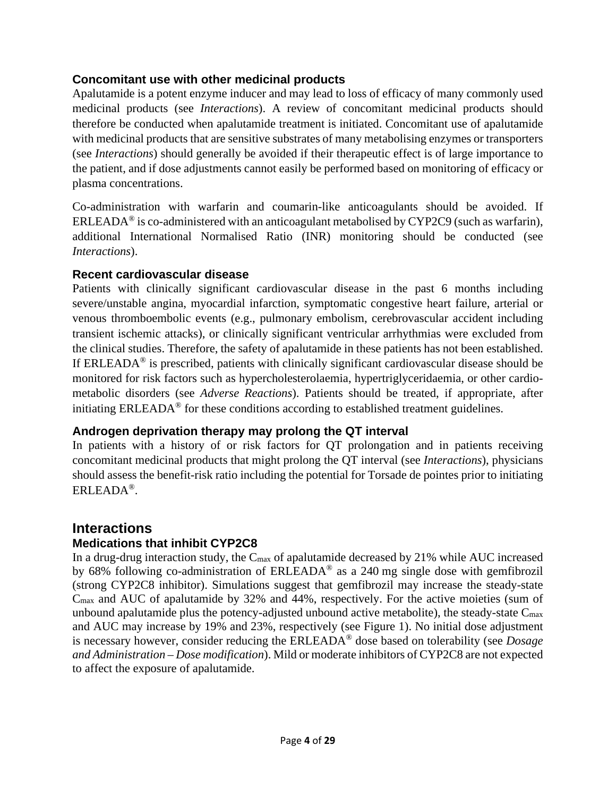#### **Concomitant use with other medicinal products**

Apalutamide is a potent enzyme inducer and may lead to loss of efficacy of many commonly used medicinal products (see *Interactions*). A review of concomitant medicinal products should therefore be conducted when apalutamide treatment is initiated. Concomitant use of apalutamide with medicinal products that are sensitive substrates of many metabolising enzymes or transporters (see *Interactions*) should generally be avoided if their therapeutic effect is of large importance to the patient, and if dose adjustments cannot easily be performed based on monitoring of efficacy or plasma concentrations.

Co-administration with warfarin and coumarin-like anticoagulants should be avoided. If ERLEADA<sup>®</sup> is co-administered with an anticoagulant metabolised by CYP2C9 (such as warfarin), additional International Normalised Ratio (INR) monitoring should be conducted (see *Interactions*).

### **Recent cardiovascular disease**

Patients with clinically significant cardiovascular disease in the past 6 months including severe/unstable angina, myocardial infarction, symptomatic congestive heart failure, arterial or venous thromboembolic events (e.g., pulmonary embolism, cerebrovascular accident including transient ischemic attacks), or clinically significant ventricular arrhythmias were excluded from the clinical studies. Therefore, the safety of apalutamide in these patients has not been established. If ERLEADA<sup>®</sup> is prescribed, patients with clinically significant cardiovascular disease should be monitored for risk factors such as hypercholesterolaemia, hypertriglyceridaemia, or other cardiometabolic disorders (see *Adverse Reactions*). Patients should be treated, if appropriate, after initiating ERLEADA® for these conditions according to established treatment guidelines.

### **Androgen deprivation therapy may prolong the QT interval**

In patients with a history of or risk factors for QT prolongation and in patients receiving concomitant medicinal products that might prolong the QT interval (see *Interactions*), physicians should assess the benefit-risk ratio including the potential for Torsade de pointes prior to initiating ERLEADA®.

# **Interactions**

### **Medications that inhibit CYP2C8**

In a drug-drug interaction study, the C<sub>max</sub> of apalutamide decreased by 21% while AUC increased by 68% following co-administration of ERLEADA® as a 240 mg single dose with gemfibrozil (strong CYP2C8 inhibitor). Simulations suggest that gemfibrozil may increase the steady-state Cmax and AUC of apalutamide by 32% and 44%, respectively. For the active moieties (sum of unbound apalutamide plus the potency-adjusted unbound active metabolite), the steady-state  $C_{\text{max}}$ and AUC may increase by 19% and 23%, respectively (see Figure 1). No initial dose adjustment is necessary however, consider reducing the ERLEADA® dose based on tolerability (see *Dosage and Administration – Dose modification*). Mild or moderate inhibitors of CYP2C8 are not expected to affect the exposure of apalutamide.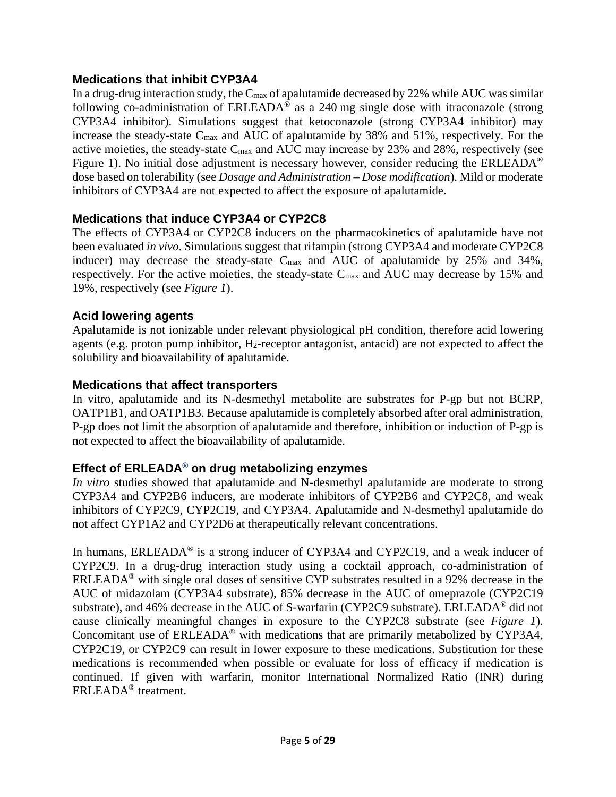#### **Medications that inhibit CYP3A4**

In a drug-drug interaction study, the C<sub>max</sub> of apalutamide decreased by 22% while AUC was similar following co-administration of ERLEADA® as a 240 mg single dose with itraconazole (strong CYP3A4 inhibitor). Simulations suggest that ketoconazole (strong CYP3A4 inhibitor) may increase the steady-state Cmax and AUC of apalutamide by 38% and 51%, respectively. For the active moieties, the steady-state Cmax and AUC may increase by 23% and 28%, respectively (see Figure 1). No initial dose adjustment is necessary however, consider reducing the ERLEADA<sup>®</sup> dose based on tolerability (see *Dosage and Administration – Dose modification*). Mild or moderate inhibitors of CYP3A4 are not expected to affect the exposure of apalutamide.

#### **Medications that induce CYP3A4 or CYP2C8**

The effects of CYP3A4 or CYP2C8 inducers on the pharmacokinetics of apalutamide have not been evaluated *in vivo*. Simulations suggest that rifampin (strong CYP3A4 and moderate CYP2C8 inducer) may decrease the steady-state  $C_{\text{max}}$  and AUC of apalutamide by 25% and 34%, respectively. For the active moieties, the steady-state Cmax and AUC may decrease by 15% and 19%, respectively (see *Figure 1*).

#### **Acid lowering agents**

Apalutamide is not ionizable under relevant physiological pH condition, therefore acid lowering agents (e.g. proton pump inhibitor, H2-receptor antagonist, antacid) are not expected to affect the solubility and bioavailability of apalutamide.

#### **Medications that affect transporters**

In vitro, apalutamide and its N-desmethyl metabolite are substrates for P-gp but not BCRP, OATP1B1, and OATP1B3. Because apalutamide is completely absorbed after oral administration, P-gp does not limit the absorption of apalutamide and therefore, inhibition or induction of P-gp is not expected to affect the bioavailability of apalutamide.

#### **Effect of ERLEADA® on drug metabolizing enzymes**

*In vitro* studies showed that apalutamide and N-desmethyl apalutamide are moderate to strong CYP3A4 and CYP2B6 inducers, are moderate inhibitors of CYP2B6 and CYP2C8, and weak inhibitors of CYP2C9, CYP2C19, and CYP3A4. Apalutamide and N-desmethyl apalutamide do not affect CYP1A2 and CYP2D6 at therapeutically relevant concentrations.

In humans, ERLEADA<sup>®</sup> is a strong inducer of CYP3A4 and CYP2C19, and a weak inducer of CYP2C9. In a drug-drug interaction study using a cocktail approach, co-administration of ERLEADA® with single oral doses of sensitive CYP substrates resulted in a 92% decrease in the AUC of midazolam (CYP3A4 substrate), 85% decrease in the AUC of omeprazole (CYP2C19 substrate), and 46% decrease in the AUC of S-warfarin (CYP2C9 substrate). ERLEADA® did not cause clinically meaningful changes in exposure to the CYP2C8 substrate (see *Figure 1*). Concomitant use of ERLEADA® with medications that are primarily metabolized by CYP3A4, CYP2C19, or CYP2C9 can result in lower exposure to these medications. Substitution for these medications is recommended when possible or evaluate for loss of efficacy if medication is continued. If given with warfarin, monitor International Normalized Ratio (INR) during ERLEADA® treatment.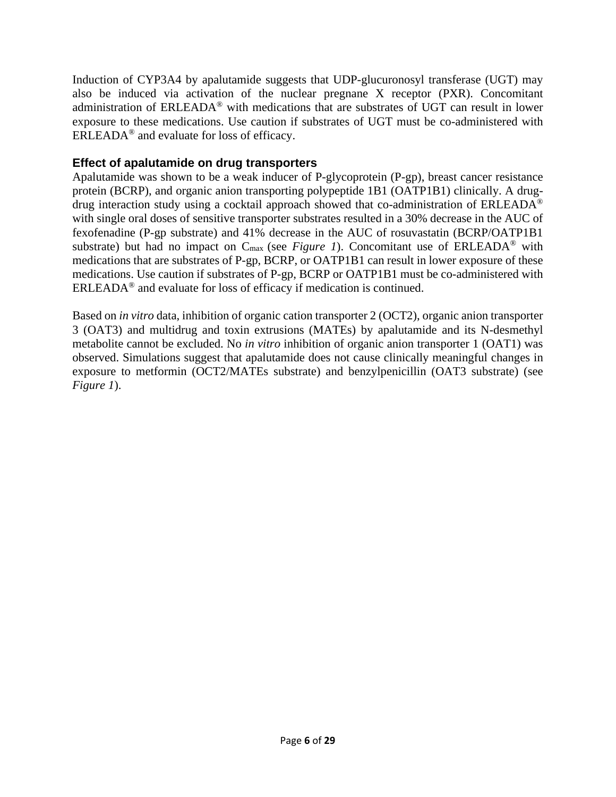Induction of CYP3A4 by apalutamide suggests that UDP-glucuronosyl transferase (UGT) may also be induced via activation of the nuclear pregnane X receptor (PXR). Concomitant administration of ERLEADA® with medications that are substrates of UGT can result in lower exposure to these medications. Use caution if substrates of UGT must be co-administered with ERLEADA® and evaluate for loss of efficacy.

#### **Effect of apalutamide on drug transporters**

Apalutamide was shown to be a weak inducer of P-glycoprotein (P-gp), breast cancer resistance protein (BCRP), and organic anion transporting polypeptide 1B1 (OATP1B1) clinically. A drugdrug interaction study using a cocktail approach showed that co-administration of ERLEADA® with single oral doses of sensitive transporter substrates resulted in a 30% decrease in the AUC of fexofenadine (P-gp substrate) and 41% decrease in the AUC of rosuvastatin (BCRP/OATP1B1 substrate) but had no impact on  $C_{\text{max}}$  (see *Figure 1*). Concomitant use of ERLEADA<sup>®</sup> with medications that are substrates of P-gp, BCRP, or OATP1B1 can result in lower exposure of these medications. Use caution if substrates of P-gp, BCRP or OATP1B1 must be co-administered with ERLEADA® and evaluate for loss of efficacy if medication is continued.

Based on *in vitro* data, inhibition of organic cation transporter 2 (OCT2), organic anion transporter 3 (OAT3) and multidrug and toxin extrusions (MATEs) by apalutamide and its N-desmethyl metabolite cannot be excluded. No *in vitro* inhibition of organic anion transporter 1 (OAT1) was observed. Simulations suggest that apalutamide does not cause clinically meaningful changes in exposure to metformin (OCT2/MATEs substrate) and benzylpenicillin (OAT3 substrate) (see *Figure 1*).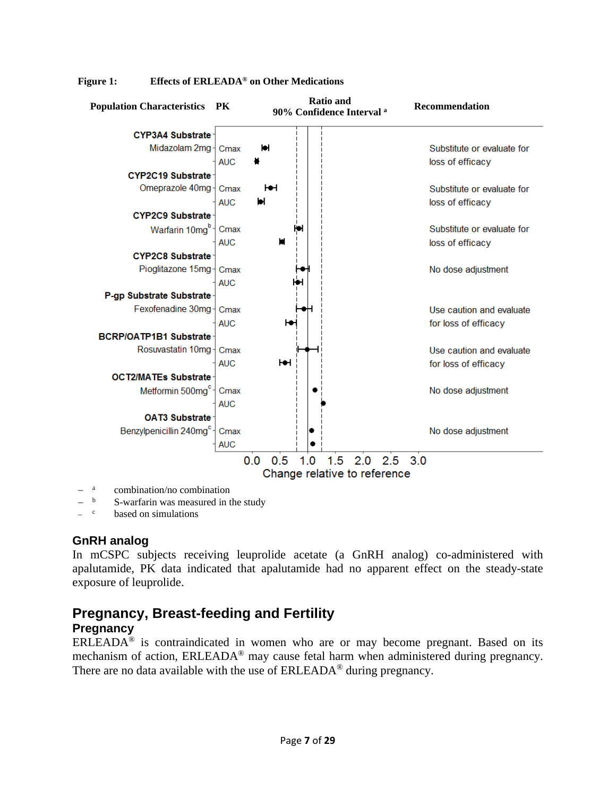

#### **Figure 1: Effects of ERLEADA® on Other Medications**

combination/no combination

based on simulations

#### **GnRH analog**

In mCSPC subjects receiving leuprolide acetate (a GnRH analog) co-administered with apalutamide, PK data indicated that apalutamide had no apparent effect on the steady-state exposure of leuprolide.

## **Pregnancy, Breast-feeding and Fertility**

#### **Pregnancy**

 $ERLEADA<sup>®</sup>$  is contraindicated in women who are or may become pregnant. Based on its mechanism of action, ERLEADA® may cause fetal harm when administered during pregnancy. There are no data available with the use of ERLEADA<sup>®</sup> during pregnancy.

<sup>&</sup>lt;sup>b</sup> S-warfarin was measured in the study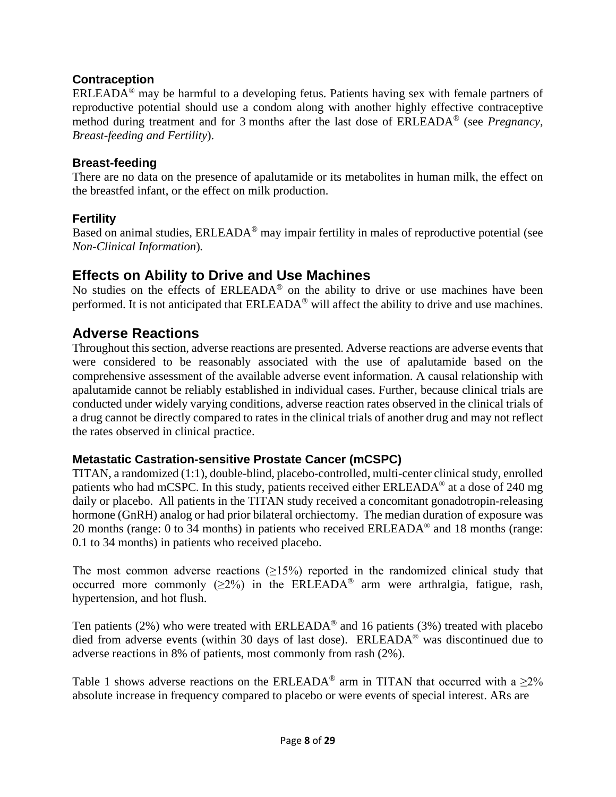### **Contraception**

ERLEADA® may be harmful to a developing fetus. Patients having sex with female partners of reproductive potential should use a condom along with another highly effective contraceptive method during treatment and for 3 months after the last dose of ERLEADA® (see *Pregnancy, Breast-feeding and Fertility*).

#### **Breast-feeding**

There are no data on the presence of apalutamide or its metabolites in human milk, the effect on the breastfed infant, or the effect on milk production.

### **Fertility**

Based on animal studies, ERLEADA® may impair fertility in males of reproductive potential (see *Non-Clinical Information*)*.*

## **Effects on Ability to Drive and Use Machines**

No studies on the effects of ERLEADA® on the ability to drive or use machines have been performed. It is not anticipated that ERLEADA® will affect the ability to drive and use machines.

## **Adverse Reactions**

Throughout this section, adverse reactions are presented. Adverse reactions are adverse events that were considered to be reasonably associated with the use of apalutamide based on the comprehensive assessment of the available adverse event information. A causal relationship with apalutamide cannot be reliably established in individual cases. Further, because clinical trials are conducted under widely varying conditions, adverse reaction rates observed in the clinical trials of a drug cannot be directly compared to rates in the clinical trials of another drug and may not reflect the rates observed in clinical practice.

#### **Metastatic Castration-sensitive Prostate Cancer (mCSPC)**

TITAN, a randomized (1:1), double-blind, placebo-controlled, multi-center clinical study, enrolled patients who had mCSPC. In this study, patients received either ERLEADA® at a dose of 240 mg daily or placebo. All patients in the TITAN study received a concomitant gonadotropin-releasing hormone (GnRH) analog or had prior bilateral orchiectomy. The median duration of exposure was 20 months (range: 0 to 34 months) in patients who received  $ERLEADA^@$  and 18 months (range: 0.1 to 34 months) in patients who received placebo.

The most common adverse reactions  $(\geq 15\%)$  reported in the randomized clinical study that occurred more commonly ( $\geq 2\%$ ) in the ERLEADA<sup>®</sup> arm were arthralgia, fatigue, rash, hypertension, and hot flush.

Ten patients (2%) who were treated with ERLEADA<sup>®</sup> and 16 patients (3%) treated with placebo died from adverse events (within 30 days of last dose). ERLEADA® was discontinued due to adverse reactions in 8% of patients, most commonly from rash (2%).

Table 1 shows adverse reactions on the ERLEADA<sup>®</sup> arm in TITAN that occurred with a  $\geq 2\%$ absolute increase in frequency compared to placebo or were events of special interest. ARs are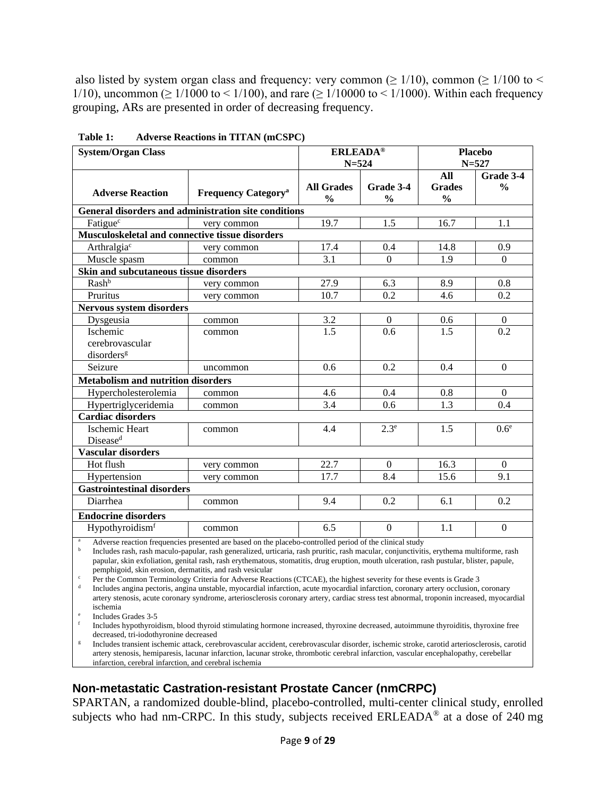also listed by system organ class and frequency: very common ( $\geq 1/10$ ), common ( $\geq 1/100$  to  $\leq$ 1/10), uncommon ( $\geq 1/1000$  to  $\leq 1/100$ ), and rare ( $\geq 1/10000$  to  $\leq 1/1000$ ). Within each frequency grouping, ARs are presented in order of decreasing frequency.

| <b>System/Organ Class</b>                             |                                       | <b>ERLEADA®</b><br>$N = 524$       |                            | <b>Placebo</b><br>$N = 527$           |                            |
|-------------------------------------------------------|---------------------------------------|------------------------------------|----------------------------|---------------------------------------|----------------------------|
| <b>Adverse Reaction</b>                               | <b>Frequency Category<sup>a</sup></b> | <b>All Grades</b><br>$\frac{0}{0}$ | Grade 3-4<br>$\frac{0}{0}$ | All<br><b>Grades</b><br>$\frac{0}{0}$ | Grade 3-4<br>$\frac{0}{0}$ |
| General disorders and administration site conditions  |                                       |                                    |                            |                                       |                            |
| Fatigue <sup>c</sup>                                  | very common                           | 19.7                               | 1.5                        | 16.7                                  | 1.1                        |
| Musculoskeletal and connective tissue disorders       |                                       |                                    |                            |                                       |                            |
| Arthralgia <sup>c</sup>                               | very common                           | 17.4                               | 0.4                        | 14.8                                  | 0.9                        |
| Muscle spasm                                          | common                                | 3.1                                | $\Omega$                   | 1.9                                   | $\Omega$                   |
| <b>Skin and subcutaneous tissue disorders</b>         |                                       |                                    |                            |                                       |                            |
| Rash <sup>b</sup>                                     | very common                           | 27.9                               | 6.3                        | 8.9                                   | 0.8                        |
| Pruritus                                              | very common                           | 10.7                               | 0.2                        | 4.6                                   | 0.2                        |
| <b>Nervous system disorders</b>                       |                                       |                                    |                            |                                       |                            |
| Dysgeusia                                             | common                                | 3.2                                | $\theta$                   | 0.6                                   | $\Omega$                   |
| Ischemic<br>cerebrovascular<br>disorders <sup>g</sup> | common                                | $\overline{1.5}$                   | 0.6                        | 1.5                                   | 0.2                        |
| Seizure                                               | uncommon                              | 0.6                                | 0.2                        | 0.4                                   | $\theta$                   |
| <b>Metabolism and nutrition disorders</b>             |                                       |                                    |                            |                                       |                            |
| Hypercholesterolemia                                  | common                                | 4.6                                | 0.4                        | 0.8                                   | $\mathbf{0}$               |
| Hypertriglyceridemia                                  | common                                | 3.4                                | 0.6                        | 1.3                                   | 0.4                        |
| <b>Cardiac disorders</b>                              |                                       |                                    |                            |                                       |                            |
| <b>Ischemic Heart</b><br>Disease <sup>d</sup>         | common                                | 4.4                                | 2.3 <sup>e</sup>           | 1.5                                   | 0.6 <sup>e</sup>           |
| <b>Vascular disorders</b>                             |                                       |                                    |                            |                                       |                            |
| Hot flush                                             | very common                           | 22.7                               | $\theta$                   | 16.3                                  | $\overline{0}$             |
| Hypertension                                          | very common                           | 17.7                               | 8.4                        | 15.6                                  | 9.1                        |
| <b>Gastrointestinal disorders</b>                     |                                       |                                    |                            |                                       |                            |
| Diarrhea                                              | common                                | 9.4                                | 0.2                        | 6.1                                   | 0.2                        |
| <b>Endocrine disorders</b>                            |                                       |                                    |                            |                                       |                            |
| Hypothyroidismf                                       | common                                | 6.5                                | $\boldsymbol{0}$           | 1.1                                   | $\boldsymbol{0}$           |

**Table 1: Adverse Reactions in TITAN (mCSPC)**

<sup>a</sup> Adverse reaction frequencies presented are based on the placebo-controlled period of the clinical study

b Includes rash, rash maculo-papular, rash generalized, urticaria, rash pruritic, rash macular, conjunctivitis, erythema multiforme, rash papular, skin exfoliation, genital rash, rash erythematous, stomatitis, drug eruption, mouth ulceration, rash pustular, blister, papule, pemphigoid, skin erosion, dermatitis, and rash vesicular

<sup>c</sup> Per the Common Terminology Criteria for Adverse Reactions (CTCAE), the highest severity for these events is Grade 3 Includes angina pectoris, angina unstable, myocardial infarction, acute myocardial infarction, coronary artery occlusion, coronary artery stenosis, acute coronary syndrome, arteriosclerosis coronary artery, cardiac stress test abnormal, troponin increased, myocardial ischemia

Includes Grades 3-5

<sup>f</sup> Includes hypothyroidism, blood thyroid stimulating hormone increased, thyroxine decreased, autoimmune thyroiditis, thyroxine free decreased, tri-iodothyronine decreased

<sup>g</sup> Includes transient ischemic attack, cerebrovascular accident, cerebrovascular disorder, ischemic stroke, carotid arteriosclerosis, carotid artery stenosis, hemiparesis, lacunar infarction, lacunar stroke, thrombotic cerebral infarction, vascular encephalopathy, cerebellar infarction, cerebral infarction, and cerebral ischemia

#### **Non-metastatic Castration-resistant Prostate Cancer (nmCRPC)**

SPARTAN, a randomized double-blind, placebo-controlled, multi-center clinical study, enrolled subjects who had nm-CRPC. In this study, subjects received  $ERLEADA^{\circledcirc}$  at a dose of 240 mg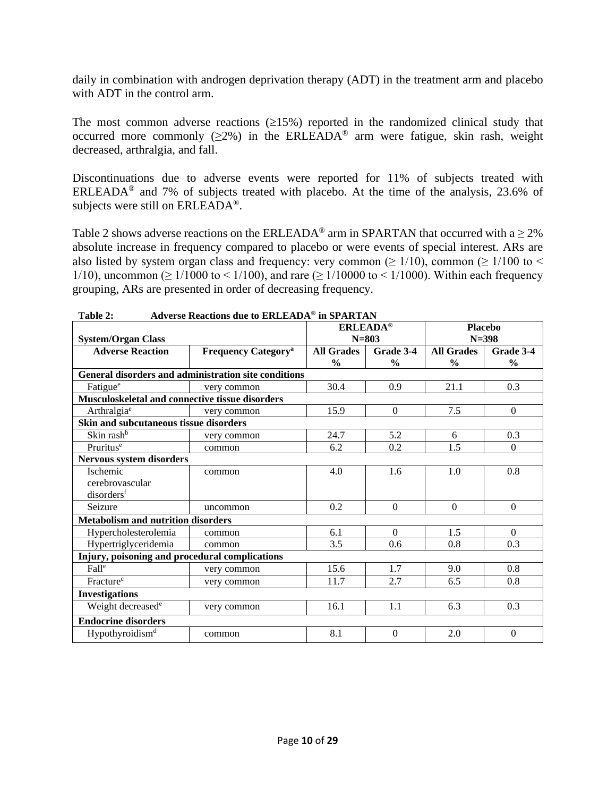daily in combination with androgen deprivation therapy (ADT) in the treatment arm and placebo with ADT in the control arm.

The most common adverse reactions  $(\geq 15\%)$  reported in the randomized clinical study that occurred more commonly ( $\geq 2\%$ ) in the ERLEADA<sup>®</sup> arm were fatigue, skin rash, weight decreased, arthralgia, and fall.

Discontinuations due to adverse events were reported for 11% of subjects treated with ERLEADA® and 7% of subjects treated with placebo. At the time of the analysis, 23.6% of subjects were still on ERLEADA®.

Table 2 shows adverse reactions on the ERLEADA<sup>®</sup> arm in SPARTAN that occurred with a  $\geq$  2% absolute increase in frequency compared to placebo or were events of special interest. ARs are also listed by system organ class and frequency: very common ( $\geq 1/10$ ), common ( $\geq 1/100$  to  $\leq$ 1/10), uncommon ( $\geq 1/1000$  to  $\leq 1/100$ ), and rare ( $\geq 1/10000$  to  $\leq 1/1000$ ). Within each frequency grouping, ARs are presented in order of decreasing frequency.

|                                                 |                                                      | <b>ERLEADA®</b>   |                  | <b>Placebo</b>    |                |  |
|-------------------------------------------------|------------------------------------------------------|-------------------|------------------|-------------------|----------------|--|
| <b>System/Organ Class</b>                       |                                                      | $N = 803$         |                  | $N = 398$         |                |  |
| <b>Adverse Reaction</b>                         | <b>Frequency Category<sup>a</sup></b>                | <b>All Grades</b> | Grade 3-4        | <b>All Grades</b> | Grade 3-4      |  |
|                                                 |                                                      | $\frac{0}{0}$     | $\frac{0}{0}$    | $\frac{0}{0}$     | $\frac{0}{0}$  |  |
|                                                 | General disorders and administration site conditions |                   |                  |                   |                |  |
| Fatigue <sup>e</sup>                            | very common                                          | 30.4              | 0.9              | 21.1              | 0.3            |  |
| Musculoskeletal and connective tissue disorders |                                                      |                   |                  |                   |                |  |
| Arthralgia <sup>e</sup>                         | very common                                          | 15.9              | $\boldsymbol{0}$ | 7.5               | $\mathbf{0}$   |  |
| Skin and subcutaneous tissue disorders          |                                                      |                   |                  |                   |                |  |
| Skin rash <sup>b</sup>                          | very common                                          | 24.7              | 5.2              | 6                 | 0.3            |  |
| Pruritus <sup>e</sup>                           | common                                               | 6.2               | 0.2              | 1.5               | $\overline{0}$ |  |
| Nervous system disorders                        |                                                      |                   |                  |                   |                |  |
| Ischemic                                        | common                                               | 4.0               | 1.6              | 1.0               | 0.8            |  |
| cerebrovascular                                 |                                                      |                   |                  |                   |                |  |
| disorders <sup>f</sup>                          |                                                      |                   |                  |                   |                |  |
| Seizure                                         | uncommon                                             | 0.2               | $\Omega$         | $\Omega$          | $\Omega$       |  |
| <b>Metabolism and nutrition disorders</b>       |                                                      |                   |                  |                   |                |  |
| Hypercholesterolemia                            | common                                               | 6.1               | $\Omega$         | 1.5               | $\mathbf{0}$   |  |
| Hypertriglyceridemia                            | common                                               | 3.5               | 0.6              | 0.8               | 0.3            |  |
| Injury, poisoning and procedural complications  |                                                      |                   |                  |                   |                |  |
| Fall <sup>e</sup>                               | very common                                          | 15.6              | 1.7              | 9.0               | 0.8            |  |
| Fracture <sup>c</sup>                           | very common                                          | 11.7              | 2.7              | 6.5               | 0.8            |  |
| <b>Investigations</b>                           |                                                      |                   |                  |                   |                |  |
| Weight decreased <sup>e</sup>                   | very common                                          | 16.1              | 1.1              | 6.3               | 0.3            |  |
| <b>Endocrine disorders</b>                      |                                                      |                   |                  |                   |                |  |
| Hypothyroidism <sup>d</sup>                     | common                                               | 8.1               | $\Omega$         | 2.0               | $\Omega$       |  |

**Table 2: Adverse Reactions due to ERLEADA® in SPARTAN**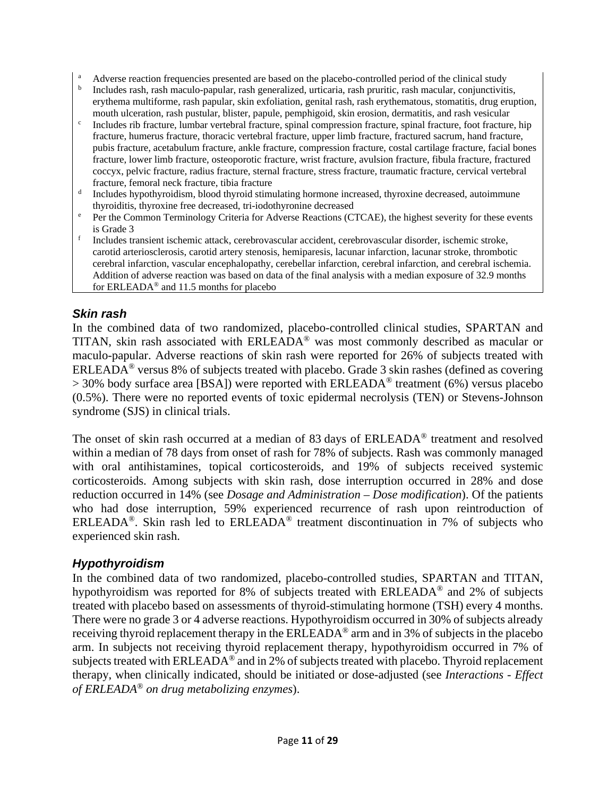- <sup>a</sup> Adverse reaction frequencies presented are based on the placebo-controlled period of the clinical study
- <sup>b</sup> Includes rash, rash maculo-papular, rash generalized, urticaria, rash pruritic, rash macular, conjunctivitis, erythema multiforme, rash papular, skin exfoliation, genital rash, rash erythematous, stomatitis, drug eruption, mouth ulceration, rash pustular, blister, papule, pemphigoid, skin erosion, dermatitis, and rash vesicular
- $\epsilon$  Includes rib fracture, lumbar vertebral fracture, spinal compression fracture, spinal fracture, foot fracture, hip fracture, humerus fracture, thoracic vertebral fracture, upper limb fracture, fractured sacrum, hand fracture, pubis fracture, acetabulum fracture, ankle fracture, compression fracture, costal cartilage fracture, facial bones fracture, lower limb fracture, osteoporotic fracture, wrist fracture, avulsion fracture, fibula fracture, fractured coccyx, pelvic fracture, radius fracture, sternal fracture, stress fracture, traumatic fracture, cervical vertebral fracture, femoral neck fracture, tibia fracture
- <sup>d</sup> Includes hypothyroidism, blood thyroid stimulating hormone increased, thyroxine decreased, autoimmune thyroiditis, thyroxine free decreased, tri-iodothyronine decreased
- <sup>e</sup> Per the Common Terminology Criteria for Adverse Reactions (CTCAE), the highest severity for these events
- is Grade 3  $\frac{1}{f}$  Includes transient ischemic attack, cerebrovascular accident, cerebrovascular disorder, ischemic stroke, carotid arteriosclerosis, carotid artery stenosis, hemiparesis, lacunar infarction, lacunar stroke, thrombotic cerebral infarction, vascular encephalopathy, cerebellar infarction, cerebral infarction, and cerebral ischemia. Addition of adverse reaction was based on data of the final analysis with a median exposure of 32.9 months for ERLEADA® and 11.5 months for placebo

#### *Skin rash*

In the combined data of two randomized, placebo-controlled clinical studies, SPARTAN and TITAN, skin rash associated with ERLEADA® was most commonly described as macular or maculo-papular. Adverse reactions of skin rash were reported for 26% of subjects treated with ERLEADA® versus 8% of subjects treated with placebo. Grade 3 skin rashes (defined as covering  $>$  30% body surface area [BSA]) were reported with ERLEADA<sup>®</sup> treatment (6%) versus placebo (0.5%). There were no reported events of toxic epidermal necrolysis (TEN) or Stevens-Johnson syndrome (SJS) in clinical trials.

The onset of skin rash occurred at a median of 83 days of ERLEADA® treatment and resolved within a median of 78 days from onset of rash for 78% of subjects. Rash was commonly managed with oral antihistamines, topical corticosteroids, and 19% of subjects received systemic corticosteroids. Among subjects with skin rash, dose interruption occurred in 28% and dose reduction occurred in 14% (see *Dosage and Administration – Dose modification*). Of the patients who had dose interruption, 59% experienced recurrence of rash upon reintroduction of ERLEADA®. Skin rash led to ERLEADA® treatment discontinuation in 7% of subjects who experienced skin rash.

#### *Hypothyroidism*

In the combined data of two randomized, placebo-controlled studies, SPARTAN and TITAN, hypothyroidism was reported for 8% of subjects treated with ERLEADA® and 2% of subjects treated with placebo based on assessments of thyroid-stimulating hormone (TSH) every 4 months. There were no grade 3 or 4 adverse reactions. Hypothyroidism occurred in 30% of subjects already receiving thyroid replacement therapy in the ERLEADA® arm and in 3% of subjects in the placebo arm. In subjects not receiving thyroid replacement therapy, hypothyroidism occurred in 7% of subjects treated with ERLEADA<sup>®</sup> and in 2% of subjects treated with placebo. Thyroid replacement therapy, when clinically indicated, should be initiated or dose-adjusted (see *Interactions* - *Effect of ERLEADA® on drug metabolizing enzymes*).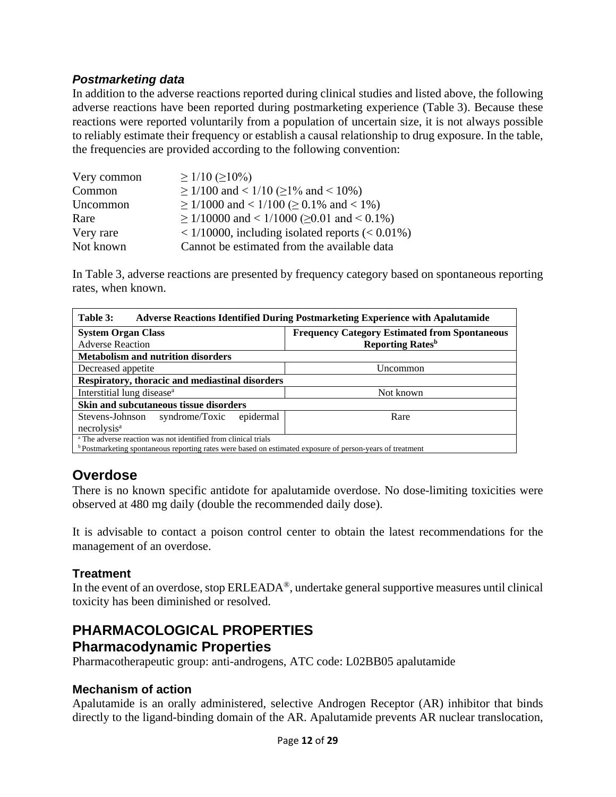#### *Postmarketing data*

In addition to the adverse reactions reported during clinical studies and listed above, the following adverse reactions have been reported during postmarketing experience (Table 3). Because these reactions were reported voluntarily from a population of uncertain size, it is not always possible to reliably estimate their frequency or establish a causal relationship to drug exposure. In the table, the frequencies are provided according to the following convention:

| Very common | $\geq$ 1/10 ( $\geq$ 10%)                               |
|-------------|---------------------------------------------------------|
| Common      | $\geq$ 1/100 and < 1/10 ( $\geq$ 1% and < 10%)          |
| Uncommon    | $\geq$ 1/1000 and < 1/100 ( $\geq$ 0.1% and < 1%)       |
| Rare        | $\geq$ 1/10000 and < 1/1000 ( $\geq$ 0.01 and < 0.1%)   |
| Very rare   | $< 1/10000$ , including isolated reports ( $< 0.01\%$ ) |
| Not known   | Cannot be estimated from the available data             |

In Table 3, adverse reactions are presented by frequency category based on spontaneous reporting rates, when known.

| Table 3:<br><b>Adverse Reactions Identified During Postmarketing Experience with Apalutamide</b>                     |                                     |  |  |  |
|----------------------------------------------------------------------------------------------------------------------|-------------------------------------|--|--|--|
| <b>System Organ Class</b><br><b>Frequency Category Estimated from Spontaneous</b>                                    |                                     |  |  |  |
| <b>Adverse Reaction</b>                                                                                              | <b>Reporting Rates</b> <sup>b</sup> |  |  |  |
| <b>Metabolism and nutrition disorders</b>                                                                            |                                     |  |  |  |
| Decreased appetite                                                                                                   | Uncommon                            |  |  |  |
| Respiratory, thoracic and mediastinal disorders                                                                      |                                     |  |  |  |
| Interstitial lung disease <sup>a</sup>                                                                               | Not known                           |  |  |  |
| Skin and subcutaneous tissue disorders                                                                               |                                     |  |  |  |
| Stevens-Johnson<br>syndrome/Toxic epidermal                                                                          | Rare                                |  |  |  |
| necrolysis <sup>a</sup>                                                                                              |                                     |  |  |  |
| <sup>a</sup> The adverse reaction was not identified from clinical trials                                            |                                     |  |  |  |
| <sup>b</sup> Postmarketing spontaneous reporting rates were based on estimated exposure of person-years of treatment |                                     |  |  |  |

## **Overdose**

There is no known specific antidote for apalutamide overdose. No dose-limiting toxicities were observed at 480 mg daily (double the recommended daily dose).

It is advisable to contact a poison control center to obtain the latest recommendations for the management of an overdose.

#### **Treatment**

In the event of an overdose, stop ERLEADA®, undertake general supportive measures until clinical toxicity has been diminished or resolved.

### **PHARMACOLOGICAL PROPERTIES Pharmacodynamic Properties**

Pharmacotherapeutic group: anti-androgens, ATC code: L02BB05 apalutamide

#### **Mechanism of action**

Apalutamide is an orally administered, selective Androgen Receptor (AR) inhibitor that binds directly to the ligand-binding domain of the AR. Apalutamide prevents AR nuclear translocation,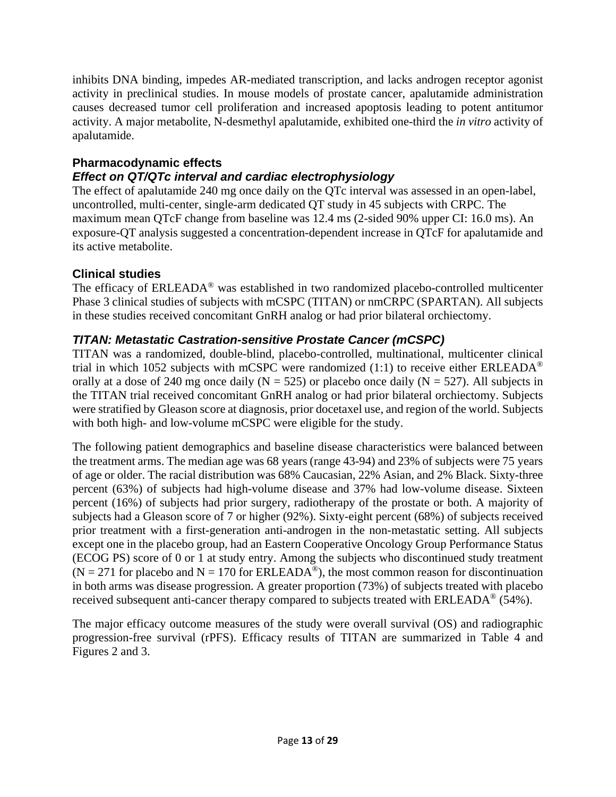inhibits DNA binding, impedes AR-mediated transcription, and lacks androgen receptor agonist activity in preclinical studies. In mouse models of prostate cancer, apalutamide administration causes decreased tumor cell proliferation and increased apoptosis leading to potent antitumor activity. A major metabolite, N-desmethyl apalutamide, exhibited one-third the *in vitro* activity of apalutamide.

### **Pharmacodynamic effects**

### *Effect on QT/QTc interval and cardiac electrophysiology*

The effect of apalutamide 240 mg once daily on the QTc interval was assessed in an open-label, uncontrolled, multi-center, single-arm dedicated QT study in 45 subjects with CRPC. The maximum mean QTcF change from baseline was 12.4 ms (2-sided 90% upper CI: 16.0 ms). An exposure-QT analysis suggested a concentration-dependent increase in QTcF for apalutamide and its active metabolite.

#### **Clinical studies**

The efficacy of ERLEADA<sup>®</sup> was established in two randomized placebo-controlled multicenter Phase 3 clinical studies of subjects with mCSPC (TITAN) or nmCRPC (SPARTAN). All subjects in these studies received concomitant GnRH analog or had prior bilateral orchiectomy.

### *TITAN: Metastatic Castration-sensitive Prostate Cancer (mCSPC)*

TITAN was a randomized, double-blind, placebo-controlled, multinational, multicenter clinical trial in which 1052 subjects with mCSPC were randomized (1:1) to receive either ERLEADA<sup>®</sup> orally at a dose of 240 mg once daily ( $N = 525$ ) or placebo once daily ( $N = 527$ ). All subjects in the TITAN trial received concomitant GnRH analog or had prior bilateral orchiectomy. Subjects were stratified by Gleason score at diagnosis, prior docetaxel use, and region of the world. Subjects with both high- and low-volume mCSPC were eligible for the study.

The following patient demographics and baseline disease characteristics were balanced between the treatment arms. The median age was 68 years (range 43-94) and 23% of subjects were 75 years of age or older. The racial distribution was 68% Caucasian, 22% Asian, and 2% Black. Sixty-three percent (63%) of subjects had high-volume disease and 37% had low-volume disease. Sixteen percent (16%) of subjects had prior surgery, radiotherapy of the prostate or both. A majority of subjects had a Gleason score of 7 or higher (92%). Sixty-eight percent (68%) of subjects received prior treatment with a first-generation anti-androgen in the non-metastatic setting. All subjects except one in the placebo group, had an Eastern Cooperative Oncology Group Performance Status (ECOG PS) score of 0 or 1 at study entry. Among the subjects who discontinued study treatment  $(N = 271$  for placebo and  $N = 170$  for ERLEADA<sup>®</sup>), the most common reason for discontinuation in both arms was disease progression. A greater proportion (73%) of subjects treated with placebo received subsequent anti-cancer therapy compared to subjects treated with ERLEADA<sup>®</sup> (54%).

The major efficacy outcome measures of the study were overall survival (OS) and radiographic progression-free survival (rPFS). Efficacy results of TITAN are summarized in Table 4 and Figures 2 and 3.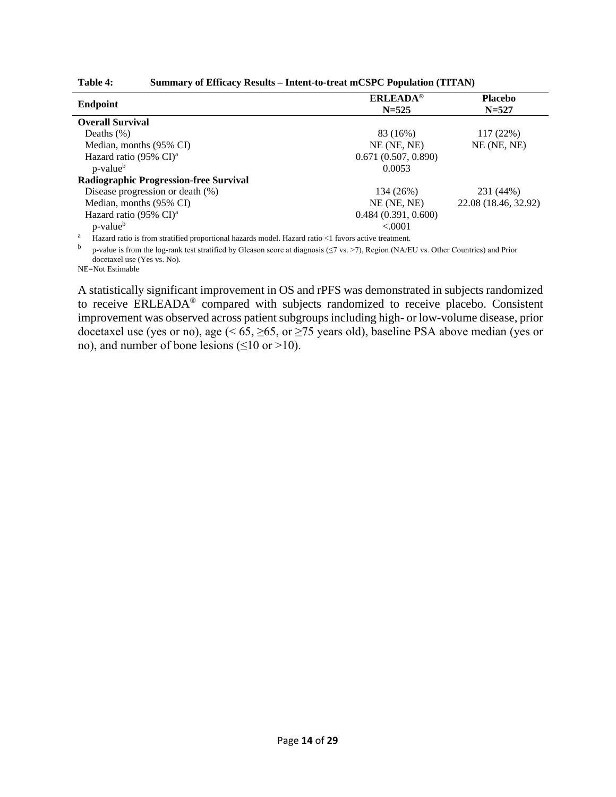| Table 4: | Summary of Efficacy Results - Intent-to-treat mCSPC Population (TITAN) |
|----------|------------------------------------------------------------------------|
|----------|------------------------------------------------------------------------|

| <b>ERLEADA®</b><br>$N = 525$ | <b>Placebo</b><br>$N = 527$ |
|------------------------------|-----------------------------|
|                              |                             |
| 83 (16%)                     | 117 (22%)                   |
| $NE$ (NE, NE)                | $NE$ (NE, NE)               |
| 0.671(0.507, 0.890)          |                             |
| 0.0053                       |                             |
|                              |                             |
| 134 (26%)                    | 231 (44%)                   |
| $NE$ (NE, NE)                | 22.08 (18.46, 32.92)        |
| 0.484(0.391, 0.600)          |                             |
| < .0001                      |                             |
|                              |                             |

<sup>a</sup> Hazard ratio is from stratified proportional hazards model. Hazard ratio <1 favors active treatment.

<sup>b</sup> p-value is from the log-rank test stratified by Gleason score at diagnosis (≤7 vs. >7), Region (NA/EU vs. Other Countries) and Prior docetaxel use (Yes vs. No).

NE=Not Estimable

A statistically significant improvement in OS and rPFS was demonstrated in subjects randomized to receive ERLEADA<sup>®</sup> compared with subjects randomized to receive placebo. Consistent improvement was observed across patient subgroups including high- or low-volume disease, prior docetaxel use (yes or no), age (< 65, ≥65, or ≥75 years old), baseline PSA above median (yes or no), and number of bone lesions  $(\leq 10 \text{ or } >10)$ .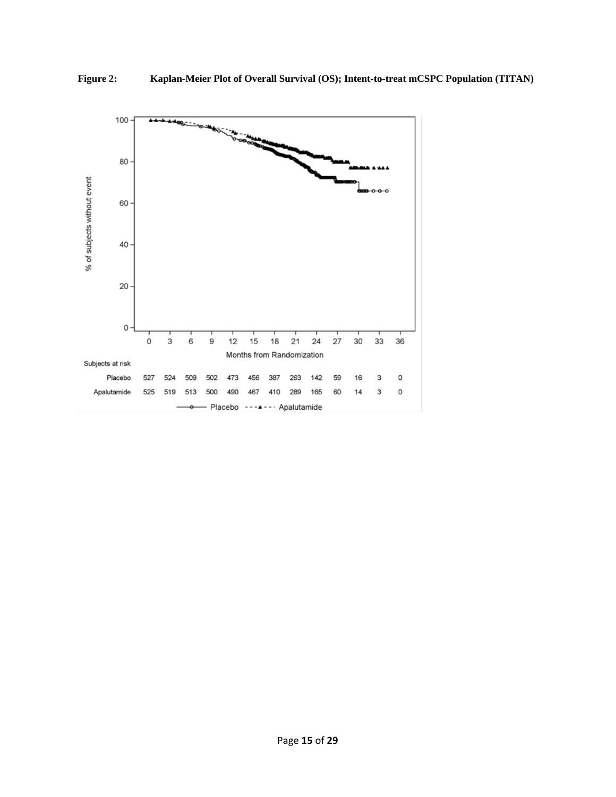

**Figure 2: Kaplan-Meier Plot of Overall Survival (OS); Intent-to-treat mCSPC Population (TITAN)**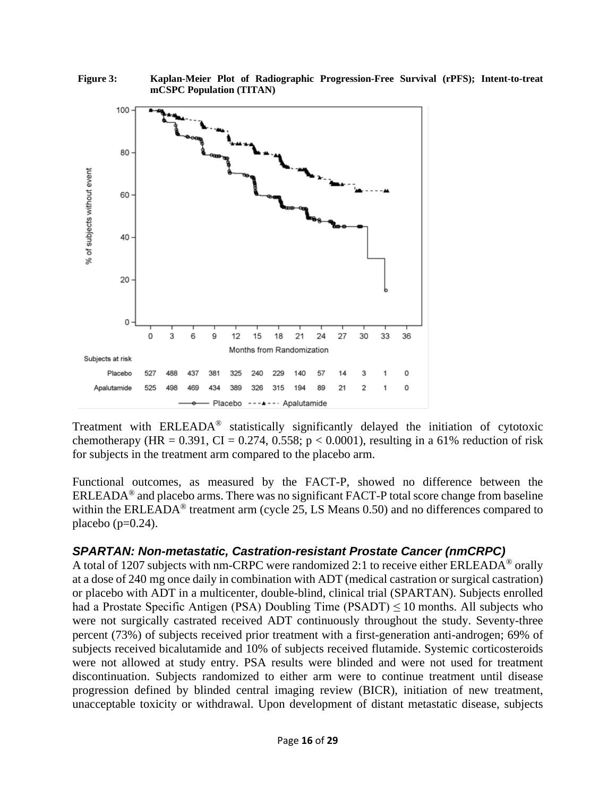

**Figure 3: Kaplan-Meier Plot of Radiographic Progression-Free Survival (rPFS); Intent-to-treat mCSPC Population (TITAN)**

Treatment with ERLEADA® statistically significantly delayed the initiation of cytotoxic chemotherapy (HR = 0.391, CI = 0.274, 0.558;  $p < 0.0001$ ), resulting in a 61% reduction of risk for subjects in the treatment arm compared to the placebo arm.

Functional outcomes, as measured by the FACT-P, showed no difference between the ERLEADA® and placebo arms. There was no significant FACT-P total score change from baseline within the ERLEADA<sup>®</sup> treatment arm (cycle 25, LS Means 0.50) and no differences compared to placebo ( $p=0.24$ ).

#### *SPARTAN: Non-metastatic, Castration-resistant Prostate Cancer (nmCRPC)*

A total of 1207 subjects with nm-CRPC were randomized 2:1 to receive either ERLEADA® orally at a dose of 240 mg once daily in combination with ADT (medical castration or surgical castration) or placebo with ADT in a multicenter, double-blind, clinical trial (SPARTAN). Subjects enrolled had a Prostate Specific Antigen (PSA) Doubling Time (PSADT)  $\leq$  10 months. All subjects who were not surgically castrated received ADT continuously throughout the study. Seventy-three percent (73%) of subjects received prior treatment with a first-generation anti-androgen; 69% of subjects received bicalutamide and 10% of subjects received flutamide. Systemic corticosteroids were not allowed at study entry. PSA results were blinded and were not used for treatment discontinuation. Subjects randomized to either arm were to continue treatment until disease progression defined by blinded central imaging review (BICR), initiation of new treatment, unacceptable toxicity or withdrawal. Upon development of distant metastatic disease, subjects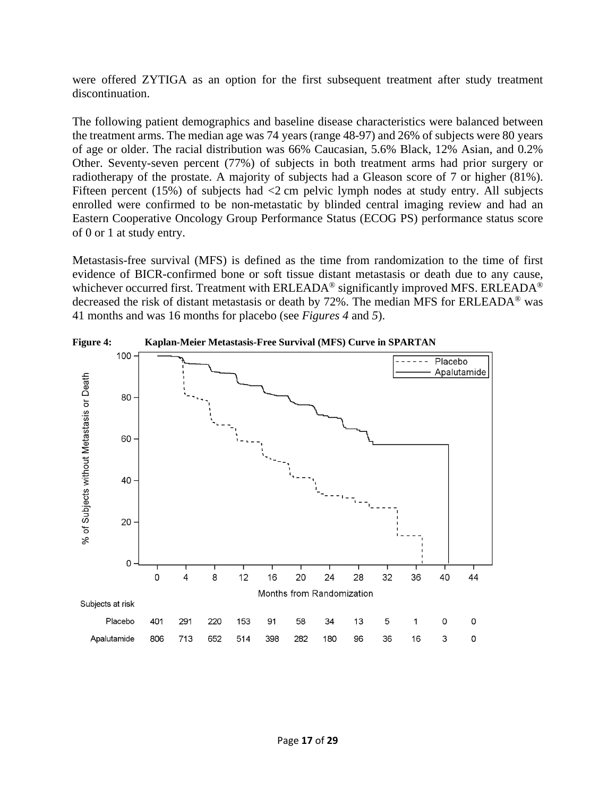were offered ZYTIGA as an option for the first subsequent treatment after study treatment discontinuation.

The following patient demographics and baseline disease characteristics were balanced between the treatment arms. The median age was 74 years (range 48-97) and 26% of subjects were 80 years of age or older. The racial distribution was 66% Caucasian, 5.6% Black, 12% Asian, and 0.2% Other. Seventy-seven percent (77%) of subjects in both treatment arms had prior surgery or radiotherapy of the prostate. A majority of subjects had a Gleason score of 7 or higher (81%). Fifteen percent (15%) of subjects had  $\langle 2 \rangle$  cm pelvic lymph nodes at study entry. All subjects enrolled were confirmed to be non-metastatic by blinded central imaging review and had an Eastern Cooperative Oncology Group Performance Status (ECOG PS) performance status score of 0 or 1 at study entry.

Metastasis-free survival (MFS) is defined as the time from randomization to the time of first evidence of BICR-confirmed bone or soft tissue distant metastasis or death due to any cause, whichever occurred first. Treatment with ERLEADA<sup>®</sup> significantly improved MFS. ERLEADA<sup>®</sup> decreased the risk of distant metastasis or death by 72%. The median MFS for ERLEADA® was 41 months and was 16 months for placebo (see *Figures 4* and *5*).

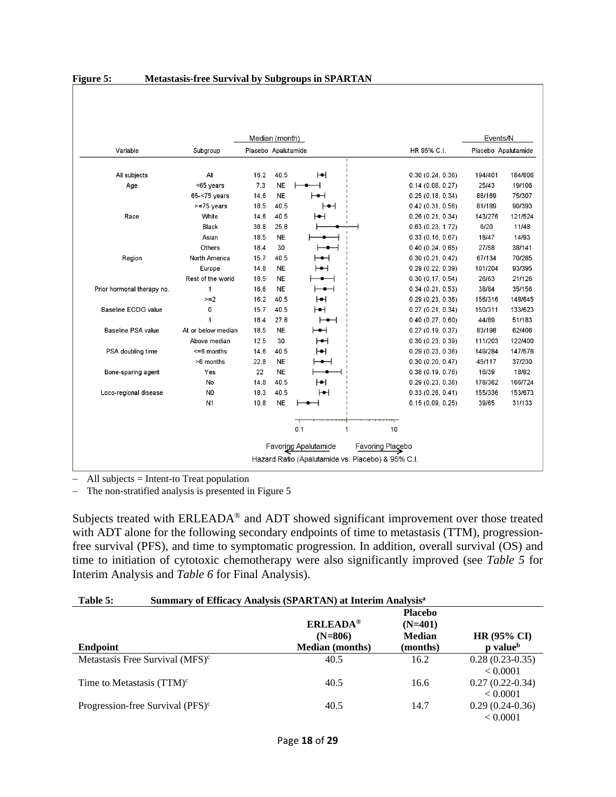|                            |                    |      | Median (month)      |                       |         |                  | Events/N            |         |
|----------------------------|--------------------|------|---------------------|-----------------------|---------|------------------|---------------------|---------|
| Variable                   | Subgroup           |      | Placebo Apalutamide |                       |         | HR 95% C.I.      | Placebo Apalutamide |         |
| All subjects               | All                | 16.2 | 40.5                | ЮН                    |         | 0.30(0.24, 0.36) | 194/401             | 184/806 |
| Age                        | <65 years          | 7.3  | <b>NE</b>           |                       |         | 0.14(0.08, 0.27) | 25/43               | 19/106  |
|                            | 65-<75 years       | 14.6 | <b>NE</b>           |                       |         | 0.25(0.18, 0.34) | 88/169              | 75/307  |
|                            | >=75 years         | 18.5 | 40.5                | ⊢⊷⊣                   |         | 0.42(0.31, 0.56) | 81/189              | 90/393  |
| Race                       | White              | 14.6 | 40.5                | ⊢                     |         | 0.26(0.21, 0.34) | 143/276             | 121/524 |
|                            | Black              | 36.8 | 25.8                |                       |         | 0.63(0.23, 1.72) | 6/20                | 11/48   |
|                            | Asian              | 18.5 | <b>NE</b>           |                       |         | 0.33(0.16, 0.67) | 18/47               | 14/93   |
|                            | Others             | 18.4 | 30                  |                       |         | 0.40(0.24, 0.65) | 27/58               | 38/141  |
| Region                     | North America      | 15.7 | 40.5                | ⊢⊷⊣                   |         | 0.30(0.21, 0.42) | 67/134              | 70/285  |
|                            | Europe             | 14.8 | <b>NE</b>           | ⊢⊷⊣                   |         | 0.29(0.22, 0.39) | 101/204             | 93/395  |
|                            | Rest of the world  | 18.5 | <b>NE</b>           |                       |         | 0.30(0.17, 0.54) | 26/63               | 21/126  |
| Prior hormonal therapy no. | $\mathbf{1}$       | 16.6 | <b>NE</b>           |                       |         | 0.34(0.21, 0.53) | 38/84               | 35/156  |
|                            | $>=2$              | 16.2 | 40.5                | ЮН                    |         | 0.29(0.23, 0.36) | 156/316             | 148/645 |
| Baseline ECOG value        | 0                  | 15.7 | 40.5                | ⊢                     |         | 0.27(0.21, 0.34) | 150/311             | 133/623 |
|                            |                    | 18.4 | 27.8                |                       |         | 0.40(0.27, 0.60) | 44/89               | 51/183  |
| Baseline PSA value         | At or below median | 18.5 | <b>NE</b>           | ⊢⊷⊣                   |         | 0.27(0.19, 0.37) | 83/198              | 62/406  |
|                            | Above median       | 12.5 | 30                  | $\vdash\bullet\vdash$ |         | 0.30(0.23, 0.39) | 111/203             | 122/400 |
| PSA doubling time          | $<=6$ months       | 14.6 | 40.5                | ⊢                     |         | 0.29(0.23, 0.36) | 149/284             | 147/576 |
|                            | >6 months          | 22.8 | <b>NE</b>           | ⊢⊷⊣                   |         | 0.30(0.20, 0.47) | 45/117              | 37/230  |
| Bone-sparing agent         | Yes                | 22   | <b>NE</b>           |                       |         | 0.38(0.19, 0.76) | 16/39               | 18/82   |
|                            | No                 | 14.8 | 40.5                | ⊢                     |         | 0.29(0.23, 0.36) | 178/362             | 166/724 |
| Loco-regional disease      | N <sub>0</sub>     | 18.3 | 40.5                | ⊢                     |         | 0.33(0.26, 0.41) | 155/336             | 153/673 |
|                            | N <sub>1</sub>     | 10.8 | <b>NE</b>           |                       |         | 0.15(0.09, 0.25) | 39/65               | 31/133  |
|                            |                    |      |                     | 0.1<br>1              | ᠇<br>10 |                  |                     |         |

#### **Figure 5: Metastasis-free Survival by Subgroups in SPARTAN**

− All subjects = Intent-to Treat population

− The non-stratified analysis is presented in Figure 5

Subjects treated with ERLEADA<sup>®</sup> and ADT showed significant improvement over those treated with ADT alone for the following secondary endpoints of time to metastasis (TTM), progressionfree survival (PFS), and time to symptomatic progression. In addition, overall survival (OS) and time to initiation of cytotoxic chemotherapy were also significantly improved (see *Table 5* for Interim Analysis and *Table 6* for Final Analysis).

| Table 5:                                     | Summary of Efficacy Analysis (SPARTAN) at Interim Analysis <sup>a</sup> |                                                          |                                            |  |
|----------------------------------------------|-------------------------------------------------------------------------|----------------------------------------------------------|--------------------------------------------|--|
| <b>Endpoint</b>                              | <b>ERLEADA®</b><br>$(N=806)$<br><b>Median</b> (months)                  | <b>Placebo</b><br>$(N=401)$<br><b>Median</b><br>(months) | <b>HR (95% CI)</b><br>p value <sup>b</sup> |  |
| Metastasis Free Survival (MFS) <sup>c</sup>  | 40.5                                                                    | 16.2                                                     | $0.28(0.23-0.35)$<br>< 0.0001              |  |
| Time to Metastasis $(TTM)^c$                 | 40.5                                                                    | 16.6                                                     | $0.27(0.22-0.34)$<br>< 0.0001              |  |
| Progression-free Survival (PFS) <sup>c</sup> | 40.5                                                                    | 14.7                                                     | $0.29(0.24-0.36)$<br>< 0.0001              |  |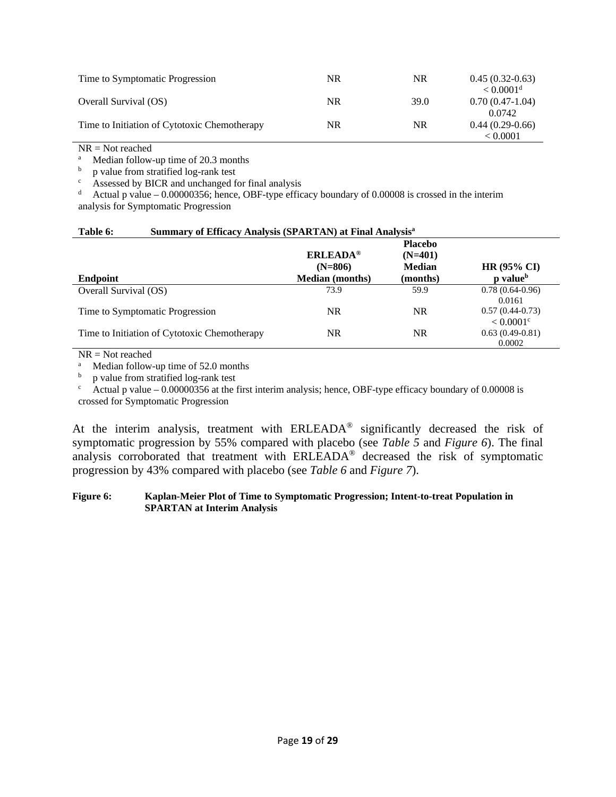| Time to Symptomatic Progression              | NR | NR        | $0.45(0.32-0.63)$<br>$< 0.0001$ <sup>d</sup> |
|----------------------------------------------|----|-----------|----------------------------------------------|
| Overall Survival (OS)                        | NR | 39.0      | $0.70(0.47-1.04)$<br>0.0742                  |
| Time to Initiation of Cytotoxic Chemotherapy | NR | <b>NR</b> | $0.44(0.29-0.66)$<br>< 0.0001                |

 $NR = Not reached$ 

<sup>a</sup> Median follow-up time of 20.3 months<br>  $\frac{b}{a}$  n value from stratified log-rank test

 $\frac{b}{c}$  p value from stratified log-rank test

<sup>c</sup> Assessed by BICR and unchanged for final analysis<br><sup>d</sup> Actual p value – 0.00000356; hence, OBF-type effic

Actual p value – 0.00000356; hence, OBF-type efficacy boundary of 0.00008 is crossed in the interim analysis for Symptomatic Progression

#### **Table 6: Summary of Efficacy Analysis (SPARTAN) at Final Analysisa**

| <b>Endpoint</b>                              | <b>ERLEADA®</b><br>$(N=806)$<br><b>Median</b> (months) | <b>Placebo</b><br>$(N=401)$<br><b>Median</b><br>(months) | <b>HR (95% CI)</b><br>p value <sup>b</sup>   |
|----------------------------------------------|--------------------------------------------------------|----------------------------------------------------------|----------------------------------------------|
| Overall Survival (OS)                        | 73.9                                                   | 59.9                                                     | $0.78(0.64-0.96)$                            |
|                                              |                                                        |                                                          | 0.0161                                       |
| Time to Symptomatic Progression              | NR                                                     | NR.                                                      | $0.57(0.44-0.73)$<br>$< 0.0001$ <sup>c</sup> |
| Time to Initiation of Cytotoxic Chemotherapy | NR                                                     | NR.                                                      | $0.63(0.49-0.81)$                            |
|                                              |                                                        |                                                          | 0.0002                                       |

 $NR = Not reached$ 

<sup>a</sup> Median follow-up time of 52.0 months<br>  $\frac{b}{a}$  n value from stratified log-rank test

b p value from stratified log-rank test<br>c Actual p value – 0.00000356 at the f

Actual p value  $-0.00000356$  at the first interim analysis; hence, OBF-type efficacy boundary of 0.00008 is crossed for Symptomatic Progression

At the interim analysis, treatment with ERLEADA® significantly decreased the risk of symptomatic progression by 55% compared with placebo (see *Table 5* and *Figure 6*). The final analysis corroborated that treatment with ERLEADA® decreased the risk of symptomatic progression by 43% compared with placebo (see *Table 6* and *Figure 7*).

#### **Figure 6: Kaplan-Meier Plot of Time to Symptomatic Progression; Intent-to-treat Population in SPARTAN at Interim Analysis**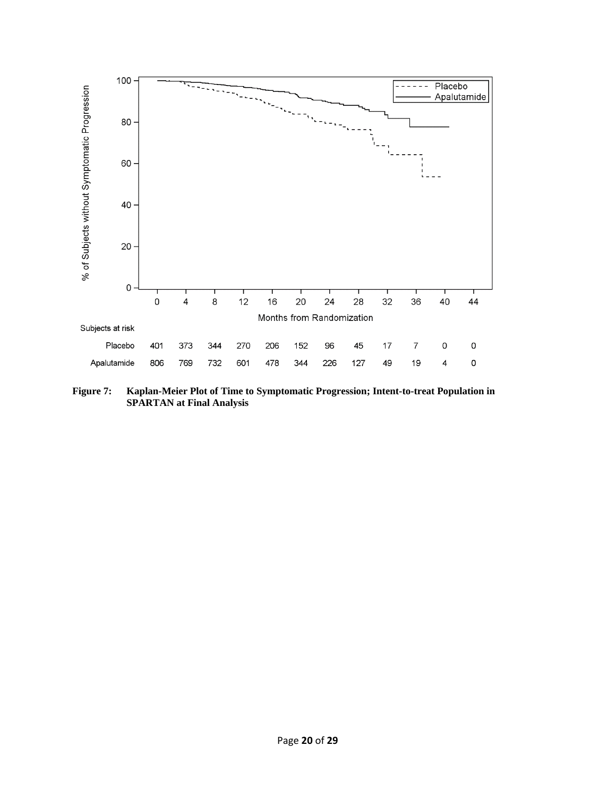

**Figure 7: Kaplan-Meier Plot of Time to Symptomatic Progression; Intent-to-treat Population in SPARTAN at Final Analysis**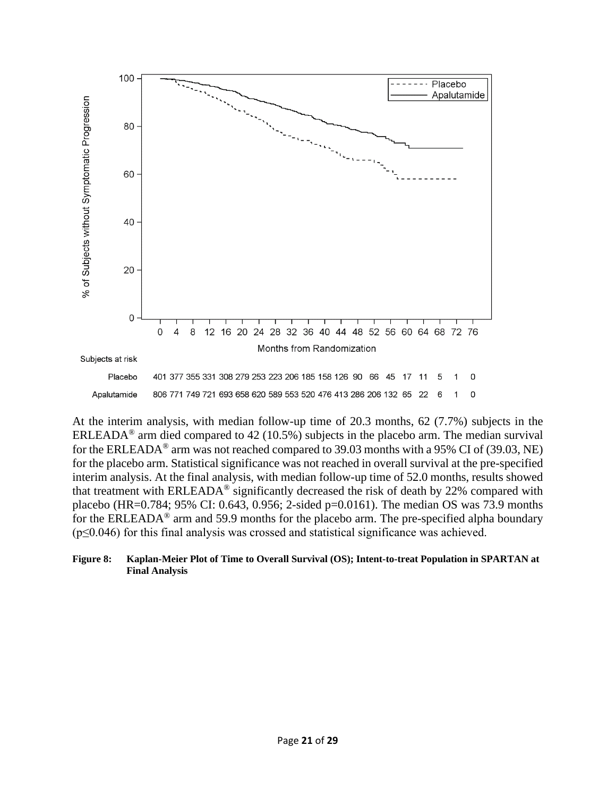

At the interim analysis, with median follow-up time of 20.3 months, 62 (7.7%) subjects in the ERLEADA<sup>®</sup> arm died compared to 42 (10.5%) subjects in the placebo arm. The median survival for the ERLEADA® arm was not reached compared to 39.03 months with a 95% CI of (39.03, NE) for the placebo arm. Statistical significance was not reached in overall survival at the pre-specified interim analysis. At the final analysis, with median follow-up time of 52.0 months, results showed that treatment with ERLEADA® significantly decreased the risk of death by 22% compared with placebo (HR=0.784; 95% CI: 0.643, 0.956; 2-sided p=0.0161). The median OS was 73.9 months for the ERLEADA® arm and 59.9 months for the placebo arm. The pre-specified alpha boundary (p≤0.046) for this final analysis was crossed and statistical significance was achieved.

#### **Figure 8: Kaplan-Meier Plot of Time to Overall Survival (OS); Intent-to-treat Population in SPARTAN at Final Analysis**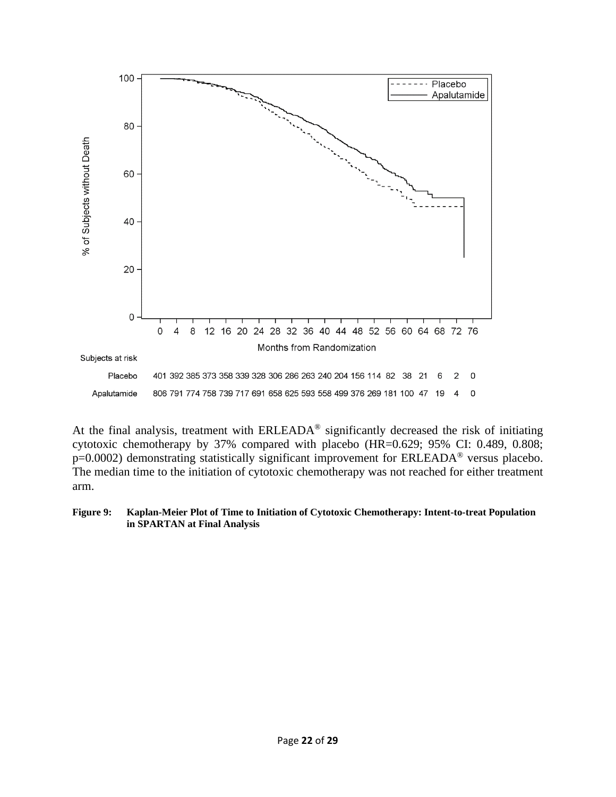

At the final analysis, treatment with ERLEADA® significantly decreased the risk of initiating cytotoxic chemotherapy by 37% compared with placebo (HR=0.629; 95% CI: 0.489, 0.808; p=0.0002) demonstrating statistically significant improvement for ERLEADA® versus placebo. The median time to the initiation of cytotoxic chemotherapy was not reached for either treatment arm.

#### **Figure 9: Kaplan-Meier Plot of Time to Initiation of Cytotoxic Chemotherapy: Intent-to-treat Population in SPARTAN at Final Analysis**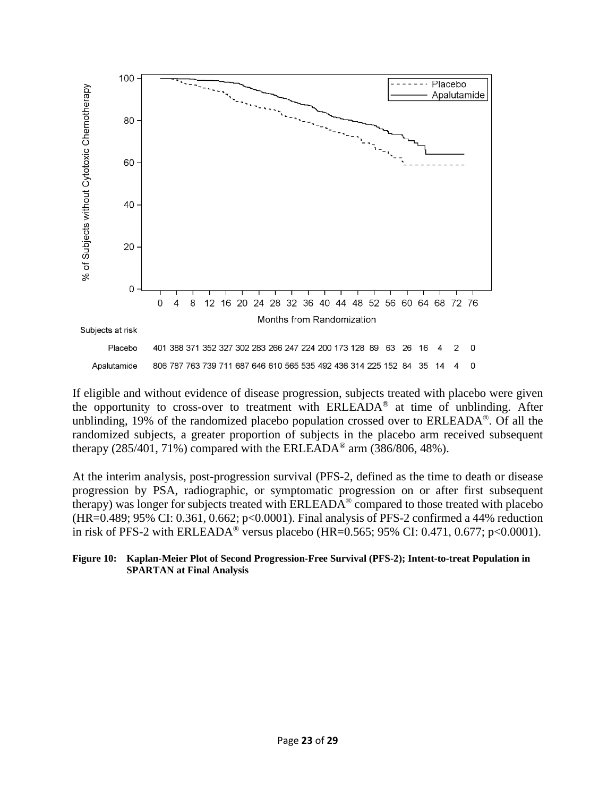

If eligible and without evidence of disease progression, subjects treated with placebo were given the opportunity to cross-over to treatment with ERLEADA® at time of unblinding. After unblinding, 19% of the randomized placebo population crossed over to ERLEADA®. Of all the randomized subjects, a greater proportion of subjects in the placebo arm received subsequent therapy (285/401, 71%) compared with the ERLEADA<sup>®</sup> arm (386/806, 48%).

At the interim analysis, post-progression survival (PFS-2, defined as the time to death or disease progression by PSA, radiographic, or symptomatic progression on or after first subsequent therapy) was longer for subjects treated with ERLEADA® compared to those treated with placebo (HR=0.489; 95% CI: 0.361, 0.662; p<0.0001). Final analysis of PFS-2 confirmed a 44% reduction in risk of PFS-2 with ERLEADA<sup>®</sup> versus placebo (HR=0.565; 95% CI: 0.471, 0.677; p<0.0001).

#### **Figure 10: Kaplan-Meier Plot of Second Progression-Free Survival (PFS-2); Intent-to-treat Population in SPARTAN at Final Analysis**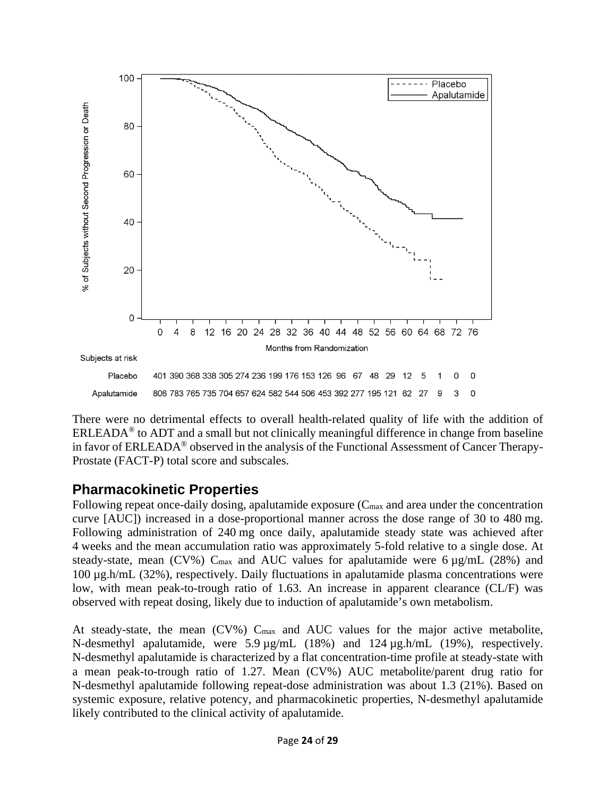

There were no detrimental effects to overall health-related quality of life with the addition of  $ERLEADA<sup>®</sup>$  to ADT and a small but not clinically meaningful difference in change from baseline in favor of ERLEADA® observed in the analysis of the Functional Assessment of Cancer Therapy-Prostate (FACT-P) total score and subscales.

## **Pharmacokinetic Properties**

Following repeat once-daily dosing, apalutamide exposure (C<sub>max</sub> and area under the concentration curve [AUC]) increased in a dose-proportional manner across the dose range of 30 to 480 mg. Following administration of 240 mg once daily, apalutamide steady state was achieved after 4 weeks and the mean accumulation ratio was approximately 5-fold relative to a single dose. At steady-state, mean (CV%)  $C_{\text{max}}$  and AUC values for apalutamide were 6  $\mu$ g/mL (28%) and 100 µg.h/mL (32%), respectively. Daily fluctuations in apalutamide plasma concentrations were low, with mean peak-to-trough ratio of 1.63. An increase in apparent clearance (CL/F) was observed with repeat dosing, likely due to induction of apalutamide's own metabolism.

At steady-state, the mean (CV%) C<sub>max</sub> and AUC values for the major active metabolite, N-desmethyl apalutamide, were 5.9 µg/mL (18%) and 124 µg.h/mL (19%), respectively. N-desmethyl apalutamide is characterized by a flat concentration-time profile at steady-state with a mean peak-to-trough ratio of 1.27. Mean (CV%) AUC metabolite/parent drug ratio for N-desmethyl apalutamide following repeat-dose administration was about 1.3 (21%). Based on systemic exposure, relative potency, and pharmacokinetic properties, N-desmethyl apalutamide likely contributed to the clinical activity of apalutamide.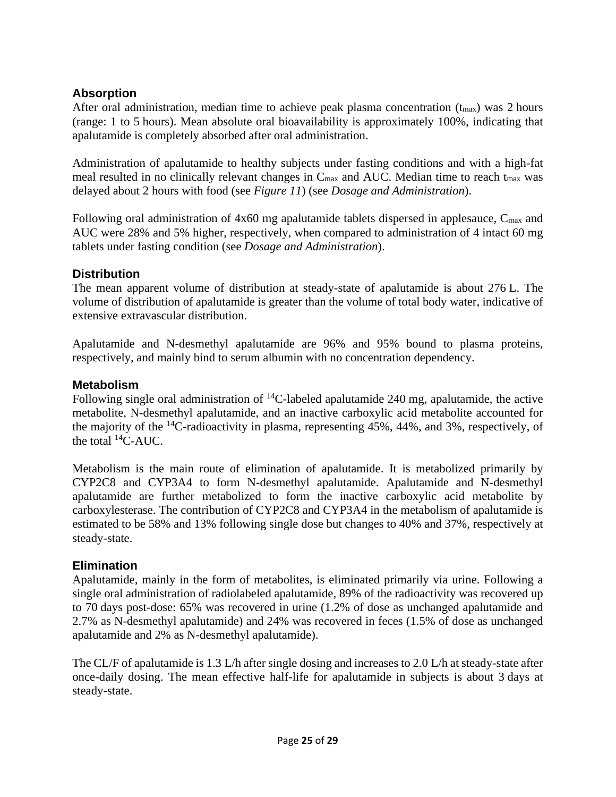### **Absorption**

After oral administration, median time to achieve peak plasma concentration  $(t_{\text{max}})$  was 2 hours (range: 1 to 5 hours). Mean absolute oral bioavailability is approximately 100%, indicating that apalutamide is completely absorbed after oral administration.

Administration of apalutamide to healthy subjects under fasting conditions and with a high-fat meal resulted in no clinically relevant changes in C<sub>max</sub> and AUC. Median time to reach t<sub>max</sub> was delayed about 2 hours with food (see *Figure 11*) (see *Dosage and Administration*).

Following oral administration of 4x60 mg apalutamide tablets dispersed in applesauce, C<sub>max</sub> and AUC were 28% and 5% higher, respectively, when compared to administration of 4 intact 60 mg tablets under fasting condition (see *Dosage and Administration*).

#### **Distribution**

The mean apparent volume of distribution at steady-state of apalutamide is about 276 L. The volume of distribution of apalutamide is greater than the volume of total body water, indicative of extensive extravascular distribution.

Apalutamide and N-desmethyl apalutamide are 96% and 95% bound to plasma proteins, respectively, and mainly bind to serum albumin with no concentration dependency.

#### **Metabolism**

Following single oral administration of  ${}^{14}$ C-labeled apalutamide 240 mg, apalutamide, the active metabolite, N-desmethyl apalutamide, and an inactive carboxylic acid metabolite accounted for the majority of the  $^{14}$ C-radioactivity in plasma, representing 45%, 44%, and 3%, respectively, of the total  $^{14}$ C-AUC.

Metabolism is the main route of elimination of apalutamide. It is metabolized primarily by CYP2C8 and CYP3A4 to form N-desmethyl apalutamide. Apalutamide and N-desmethyl apalutamide are further metabolized to form the inactive carboxylic acid metabolite by carboxylesterase. The contribution of CYP2C8 and CYP3A4 in the metabolism of apalutamide is estimated to be 58% and 13% following single dose but changes to 40% and 37%, respectively at steady-state.

#### **Elimination**

Apalutamide, mainly in the form of metabolites, is eliminated primarily via urine. Following a single oral administration of radiolabeled apalutamide, 89% of the radioactivity was recovered up to 70 days post-dose: 65% was recovered in urine (1.2% of dose as unchanged apalutamide and 2.7% as N-desmethyl apalutamide) and 24% was recovered in feces (1.5% of dose as unchanged apalutamide and 2% as N-desmethyl apalutamide).

The CL/F of apalutamide is 1.3 L/h after single dosing and increases to 2.0 L/h at steady-state after once-daily dosing. The mean effective half-life for apalutamide in subjects is about 3 days at steady-state.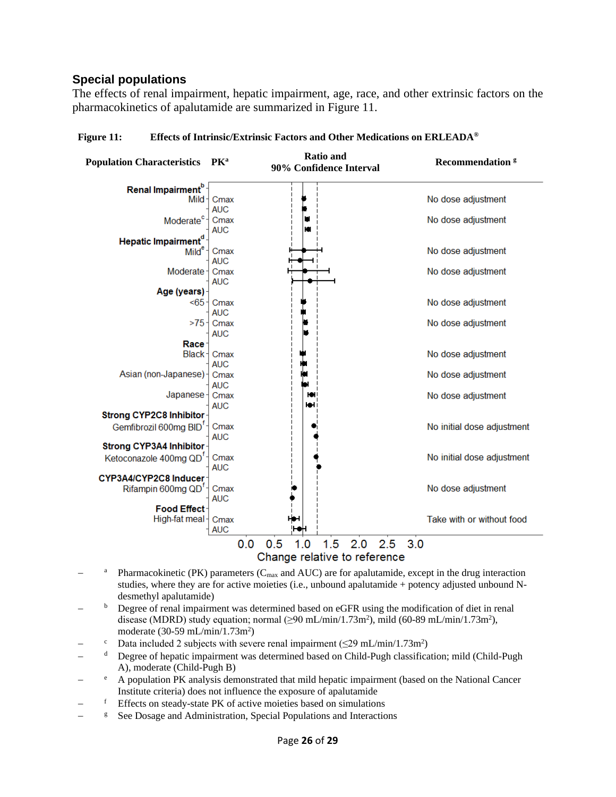#### **Special populations**

The effects of renal impairment, hepatic impairment, age, race, and other extrinsic factors on the pharmacokinetics of apalutamide are summarized in Figure 11.

| Population Characteristics PK <sup>a</sup> |                    | <b>Ratio and</b><br>90% Confidence Interval | <b>Recommendation<sup>8</sup></b> |
|--------------------------------------------|--------------------|---------------------------------------------|-----------------------------------|
| Renal Impairment <sup>b</sup>              |                    |                                             |                                   |
| Mild-                                      | Cmax               |                                             | No dose adjustment                |
|                                            | <b>AUC</b>         |                                             |                                   |
| Moderate <sup>c</sup> -                    | Cmax<br><b>AUC</b> | W                                           | No dose adjustment                |
| Hepatic Impairment <sup>d</sup>            |                    |                                             |                                   |
| Mild <sup>e</sup>                          | Cmax               |                                             | No dose adjustment                |
|                                            | <b>AUC</b>         |                                             |                                   |
| Moderate-                                  | Cmax               |                                             | No dose adjustment                |
|                                            | <b>AUC</b>         |                                             |                                   |
| Age (years)                                |                    |                                             |                                   |
| < 65                                       | Cmax               |                                             | No dose adjustment                |
|                                            | <b>AUC</b>         |                                             |                                   |
| >75                                        | Cmax               |                                             | No dose adjustment                |
|                                            | <b>AUC</b>         |                                             |                                   |
| <b>Race</b>                                |                    |                                             |                                   |
| Black-                                     | Cmax<br><b>AUC</b> |                                             | No dose adjustment                |
| Asian (non-Japanese) -                     | Cmax               |                                             | No dose adjustment                |
|                                            | <b>AUC</b>         |                                             |                                   |
| Japanese-                                  | Cmax               | ю                                           | No dose adjustment                |
|                                            | <b>AUC</b>         | юн                                          |                                   |
| Strong CYP2C8 Inhibitor                    |                    |                                             |                                   |
| Gemfibrozil 600mg BID <sup>T</sup>         | Cmax               |                                             | No initial dose adjustment        |
|                                            | <b>AUC</b>         |                                             |                                   |
| Strong CYP3A4 Inhibitor                    |                    |                                             |                                   |
| Ketoconazole 400mg QD <sup>T</sup>         | Cmax               |                                             | No initial dose adjustment        |
|                                            | <b>AUC</b>         |                                             |                                   |
| CYP3A4/CYP2C8 Inducer                      |                    |                                             |                                   |
| Rifampin 600mg QD <sup>T</sup>             | Cmax               |                                             | No dose adjustment                |
|                                            | <b>AUC</b>         |                                             |                                   |
| <b>Food Effect</b>                         |                    |                                             |                                   |
| High-fat meal-                             | Cmax               |                                             | Take with or without food         |
|                                            | <b>AUC</b>         |                                             |                                   |
|                                            | 0.0                | 1.5<br>2.0<br>0.5<br>1.0<br>2.5             | 3.0                               |
|                                            |                    | Change relative to reference                |                                   |

**Figure 11: Effects of Intrinsic/Extrinsic Factors and Other Medications on ERLEADA®**

- <sup>a</sup> Pharmacokinetic (PK) parameters ( $C_{\text{max}}$  and AUC) are for apalutamide, except in the drug interaction studies, where they are for active moieties (i.e., unbound apalutamide + potency adjusted unbound Ndesmethyl apalutamide)
- <sup>b</sup> Degree of renal impairment was determined based on eGFR using the modification of diet in renal disease (MDRD) study equation; normal  $(≥90$  mL/min/1.73m<sup>2</sup>), mild  $(60-89$  mL/min/1.73m<sup>2</sup>), moderate (30-59 mL/min/1.73m<sup>2</sup>)
- − <sup>c</sup> Data included 2 subjects with severe renal impairment (≤29 mL/min/1.73m<sup>2</sup>)
- − <sup>d</sup> Degree of hepatic impairment was determined based on Child-Pugh classification; mild (Child-Pugh A), moderate (Child-Pugh B)
- − <sup>e</sup> A population PK analysis demonstrated that mild hepatic impairment (based on the National Cancer Institute criteria) does not influence the exposure of apalutamide
- $f$  Effects on steady-state PK of active moieties based on simulations
- − g See Dosage and Administration, Special Populations and Interactions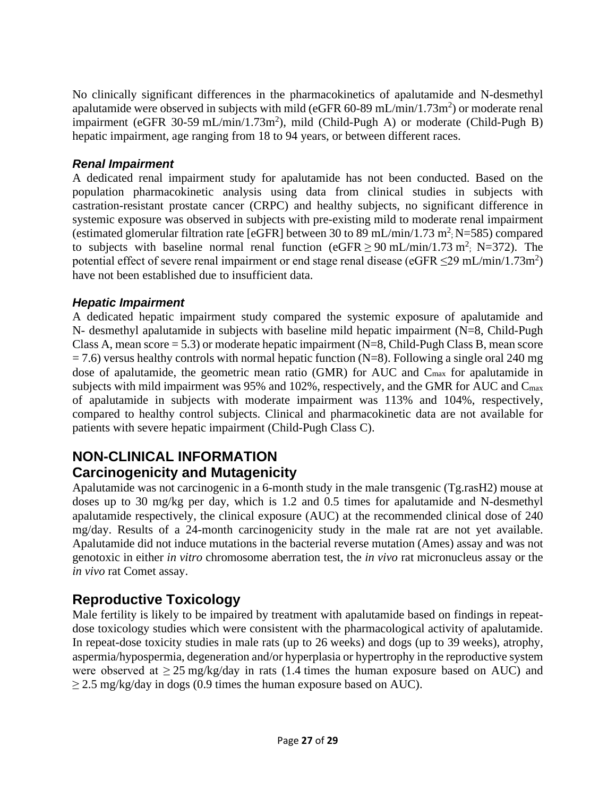No clinically significant differences in the pharmacokinetics of apalutamide and N-desmethyl apalutamide were observed in subjects with mild (eGFR 60-89 mL/min/1.73m<sup>2</sup>) or moderate renal impairment (eGFR 30-59 mL/min/1.73m<sup>2</sup>), mild (Child-Pugh A) or moderate (Child-Pugh B) hepatic impairment, age ranging from 18 to 94 years, or between different races.

#### *Renal Impairment*

A dedicated renal impairment study for apalutamide has not been conducted. Based on the population pharmacokinetic analysis using data from clinical studies in subjects with castration-resistant prostate cancer (CRPC) and healthy subjects, no significant difference in systemic exposure was observed in subjects with pre-existing mild to moderate renal impairment (estimated glomerular filtration rate [eGFR] between 30 to 89 mL/min/1.73 m<sup>2</sup>; N=585) compared to subjects with baseline normal renal function (eGFR  $\geq$  90 mL/min/1.73 m<sup>2</sup>; N=372). The potential effect of severe renal impairment or end stage renal disease (eGFR  $\leq$ 29 mL/min/1.73m<sup>2</sup>) have not been established due to insufficient data.

#### *Hepatic Impairment*

A dedicated hepatic impairment study compared the systemic exposure of apalutamide and N- desmethyl apalutamide in subjects with baseline mild hepatic impairment (N=8, Child-Pugh Class A, mean score  $= 5.3$ ) or moderate hepatic impairment (N=8, Child-Pugh Class B, mean score  $= 7.6$ ) versus healthy controls with normal hepatic function (N=8). Following a single oral 240 mg dose of apalutamide, the geometric mean ratio (GMR) for AUC and Cmax for apalutamide in subjects with mild impairment was 95% and 102%, respectively, and the GMR for AUC and Cmax of apalutamide in subjects with moderate impairment was 113% and 104%, respectively, compared to healthy control subjects. Clinical and pharmacokinetic data are not available for patients with severe hepatic impairment (Child-Pugh Class C).

## **NON-CLINICAL INFORMATION Carcinogenicity and Mutagenicity**

Apalutamide was not carcinogenic in a 6-month study in the male transgenic (Tg.rasH2) mouse at doses up to 30 mg/kg per day, which is 1.2 and 0.5 times for apalutamide and N-desmethyl apalutamide respectively, the clinical exposure (AUC) at the recommended clinical dose of 240 mg/day. Results of a 24-month carcinogenicity study in the male rat are not yet available. Apalutamide did not induce mutations in the bacterial reverse mutation (Ames) assay and was not genotoxic in either *in vitro* chromosome aberration test, the *in vivo* rat micronucleus assay or the *in vivo* rat Comet assay.

# **Reproductive Toxicology**

Male fertility is likely to be impaired by treatment with apalutamide based on findings in repeatdose toxicology studies which were consistent with the pharmacological activity of apalutamide. In repeat-dose toxicity studies in male rats (up to 26 weeks) and dogs (up to 39 weeks), atrophy, aspermia/hypospermia, degeneration and/or hyperplasia or hypertrophy in the reproductive system were observed at  $\geq$  25 mg/kg/day in rats (1.4 times the human exposure based on AUC) and  $\geq$  2.5 mg/kg/day in dogs (0.9 times the human exposure based on AUC).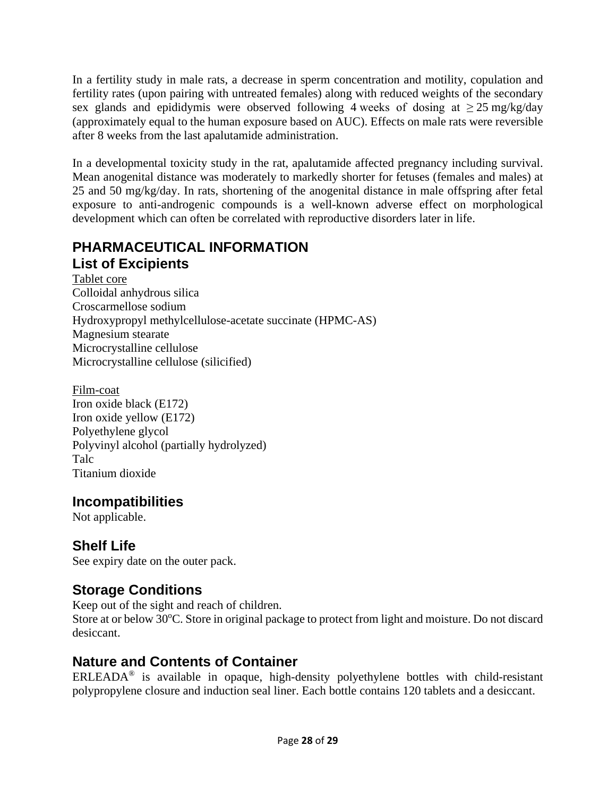In a fertility study in male rats, a decrease in sperm concentration and motility, copulation and fertility rates (upon pairing with untreated females) along with reduced weights of the secondary sex glands and epididymis were observed following 4 weeks of dosing at  $\geq 25$  mg/kg/day (approximately equal to the human exposure based on AUC). Effects on male rats were reversible after 8 weeks from the last apalutamide administration.

In a developmental toxicity study in the rat, apalutamide affected pregnancy including survival. Mean anogenital distance was moderately to markedly shorter for fetuses (females and males) at 25 and 50 mg/kg/day. In rats, shortening of the anogenital distance in male offspring after fetal exposure to anti-androgenic compounds is a well-known adverse effect on morphological development which can often be correlated with reproductive disorders later in life.

### **PHARMACEUTICAL INFORMATION List of Excipients**

Tablet core Colloidal anhydrous silica Croscarmellose sodium Hydroxypropyl methylcellulose-acetate succinate (HPMC-AS) Magnesium stearate Microcrystalline cellulose Microcrystalline cellulose (silicified)

Film-coat Iron oxide black (E172) Iron oxide yellow (E172) Polyethylene glycol Polyvinyl alcohol (partially hydrolyzed) Talc Titanium dioxide

## **Incompatibilities**

Not applicable.

# **Shelf Life**

See expiry date on the outer pack.

# **Storage Conditions**

Keep out of the sight and reach of children. Store at or below 30°C. Store in original package to protect from light and moisture. Do not discard desiccant.

# **Nature and Contents of Container**

ERLEADA® is available in opaque, high-density polyethylene bottles with child-resistant polypropylene closure and induction seal liner. Each bottle contains 120 tablets and a desiccant.